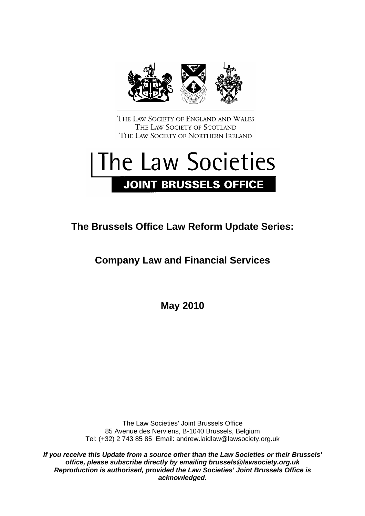

THE LAW SOCIETY OF ENGLAND AND WALES THE LAW SOCIETY OF SCOTLAND THE LAW SOCIETY OF NORTHERN IRELAND

# The Law Societies **JOINT BRUSSELS OFFICE**

# **The Brussels Office Law Reform Update Series:**

# **Company Law and Financial Services**

**May 2010** 

The Law Societies' Joint Brussels Office 85 Avenue des Nerviens, B-1040 Brussels, Belgium Tel: (+32) 2 743 85 85 Email: andrew.laidlaw@lawsociety.org.uk

*If you receive this Update from a source other than the Law Societies or their Brussels' office, please subscribe directly by emailing [brussels@lawsociety.org.uk](mailto:brussels@lawsociety.org.uk) Reproduction is authorised, provided the Law Societies' Joint Brussels Office is acknowledged.*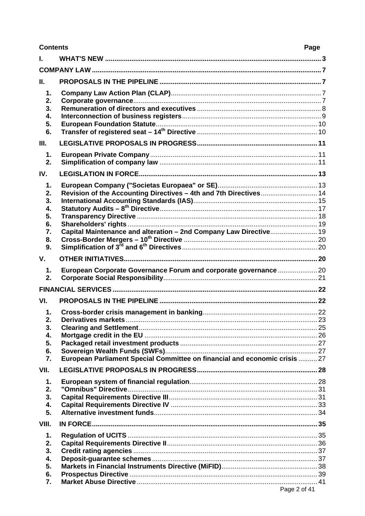#### **Contents**

## Page

| L        |                                                                            |  |
|----------|----------------------------------------------------------------------------|--|
|          |                                                                            |  |
| II.      |                                                                            |  |
| 1.       |                                                                            |  |
| 2.       |                                                                            |  |
| 3.       |                                                                            |  |
| 4.       |                                                                            |  |
| 5.<br>6. |                                                                            |  |
|          |                                                                            |  |
| Ш.       |                                                                            |  |
| 1.       |                                                                            |  |
| 2.       |                                                                            |  |
| IV.      |                                                                            |  |
| 1.       |                                                                            |  |
| 2.       | Revision of the Accounting Directives - 4th and 7th Directives 14          |  |
| 3.       |                                                                            |  |
| 4.<br>5. |                                                                            |  |
| 6.       |                                                                            |  |
| 7.       | Capital Maintenance and alteration - 2nd Company Law Directive 19          |  |
| 8.       |                                                                            |  |
| 9.       |                                                                            |  |
| V.       |                                                                            |  |
| 1.       | European Corporate Governance Forum and corporate governance 20            |  |
| 2.       |                                                                            |  |
|          |                                                                            |  |
| VI.      |                                                                            |  |
| 1.       |                                                                            |  |
| 2.       |                                                                            |  |
| 3.       | <b>Clearing and Settlement.</b>                                            |  |
| 4.       |                                                                            |  |
| 5.       |                                                                            |  |
| 6.<br>7. | European Parliament Special Committee on financial and economic crisis  27 |  |
| VII.     |                                                                            |  |
|          |                                                                            |  |
| 1.       |                                                                            |  |
| 2.<br>3. |                                                                            |  |
| 4.       |                                                                            |  |
| 5.       |                                                                            |  |
| VIII.    |                                                                            |  |
| 1.       |                                                                            |  |
| 2.       |                                                                            |  |
| 3.       |                                                                            |  |
| 4.       |                                                                            |  |
| 5.       |                                                                            |  |
| 6.       |                                                                            |  |
| 7.       | Page 2 of 41                                                               |  |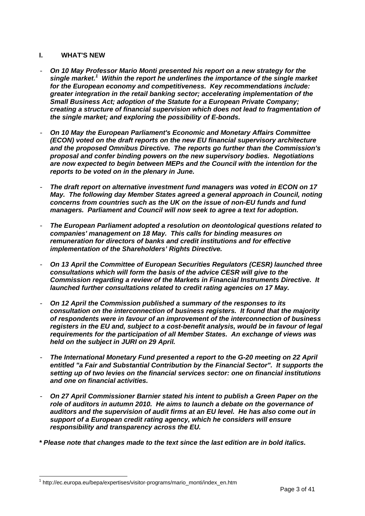#### <span id="page-2-0"></span>**I. WHAT'S NEW**

- *On 10 May Professor Mario Monti presented his report on a new strategy for the single market.[1](#page-2-1) Within the report he underlines the importance of the single market for the European economy and competitiveness. Key recommendations include: greater integration in the retail banking sector; accelerating implementation of the Small Business Act; adoption of the Statute for a European Private Company; creating a structure of financial supervision which does not lead to fragmentation of the single market; and exploring the possibility of E-bonds.*
- *On 10 May the European Parliament's Economic and Monetary Affairs Committee (ECON) voted on the draft reports on the new EU financial supervisory architecture and the proposed Omnibus Directive. The reports go further than the Commission's proposal and confer binding powers on the new supervisory bodies. Negotiations are now expected to begin between MEPs and the Council with the intention for the reports to be voted on in the plenary in June.*
- *The draft report on alternative investment fund managers was voted in ECON on 17 May. The following day Member States agreed a general approach in Council, noting concerns from countries such as the UK on the issue of non-EU funds and fund managers. Parliament and Council will now seek to agree a text for adoption.*
- *The European Parliament adopted a resolution on deontological questions related to companies' management on 18 May. This calls for binding measures on remuneration for directors of banks and credit institutions and for effective implementation of the Shareholders' Rights Directive.*
- *On 13 April the Committee of European Securities Regulators (CESR) launched three consultations which will form the basis of the advice CESR will give to the Commission regarding a review of the Markets in Financial Instruments Directive. It launched further consultations related to credit rating agencies on 17 May.*
- *On 12 April the Commission published a summary of the responses to its consultation on the interconnection of business registers. It found that the majority of respondents were in favour of an improvement of the interconnection of business registers in the EU and, subject to a cost-benefit analysis, would be in favour of legal requirements for the participation of all Member States. An exchange of views was held on the subject in JURI on 29 April.*
- *The International Monetary Fund presented a report to the G-20 meeting on 22 April entitled "a Fair and Substantial Contribution by the Financial Sector". It supports the setting up of two levies on the financial services sector: one on financial institutions and one on financial activities.*
- *On 27 April Commissioner Barnier stated his intent to publish a Green Paper on the role of auditors in autumn 2010. He aims to launch a debate on the governance of auditors and the supervision of audit firms at an EU level. He has also come out in support of a European credit rating agency, which he considers will ensure responsibility and transparency across the EU.*
- *\* Please note that changes made to the text since the last edition are in bold italics.*

<span id="page-2-1"></span><sup>&</sup>lt;sup>1</sup> http://ec.europa.eu/bepa/expertises/visitor-programs/mario\_monti/index\_en.htm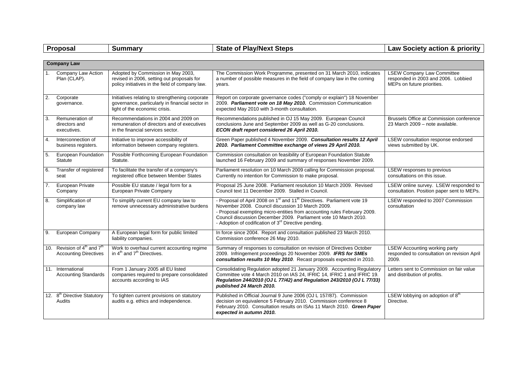|                  | Proposal                                                                            | <b>Summary</b>                                                                                                                      | <b>State of Play/Next Steps</b>                                                                                                                                                                                                                                                                                                                                         | Law Society action & priority                                                                          |  |
|------------------|-------------------------------------------------------------------------------------|-------------------------------------------------------------------------------------------------------------------------------------|-------------------------------------------------------------------------------------------------------------------------------------------------------------------------------------------------------------------------------------------------------------------------------------------------------------------------------------------------------------------------|--------------------------------------------------------------------------------------------------------|--|
|                  |                                                                                     |                                                                                                                                     |                                                                                                                                                                                                                                                                                                                                                                         |                                                                                                        |  |
|                  | <b>Company Law</b>                                                                  |                                                                                                                                     |                                                                                                                                                                                                                                                                                                                                                                         |                                                                                                        |  |
|                  | Company Law Action<br>Plan (CLAP).                                                  | Adopted by Commission in May 2003,<br>revised in 2006, setting out proposals for<br>policy initiatives in the field of company law. | The Commission Work Programme, presented on 31 March 2010, indicates<br>a number of possible measures in the field of company law in the coming<br>years.                                                                                                                                                                                                               | <b>LSEW Company Law Committee</b><br>responded in 2003 and 2006. Lobbied<br>MEPs on future priorities. |  |
| $\overline{2}$ . | Corporate<br>governance.                                                            | Initiatives relating to strengthening corporate<br>governance, particularly in financial sector in<br>light of the economic crisis. | Report on corporate governance codes ("comply or explain") 18 November<br>2009. Parliament vote on 18 May 2010. Commission Communication<br>expected May 2010 with 3-month consultation.                                                                                                                                                                                |                                                                                                        |  |
| 3.               | Remuneration of<br>directors and<br>executives.                                     | Recommendations in 2004 and 2009 on<br>remuneration of directors and of executives<br>in the financial services sector.             | Recommendations published in OJ 15 May 2009. European Council<br>conclusions June and September 2009 as well as G-20 conclusions.<br>ECON draft report considered 26 April 2010.                                                                                                                                                                                        | Brussels Office at Commission conference<br>23 March 2009 - note available.                            |  |
| $\overline{4}$ . | Interconnection of<br>business registers.                                           | Initiative to improve accessibility of<br>information between company registers.                                                    | Green Paper published 4 November 2009. Consultation results 12 April<br>2010. Parliament Committee exchange of views 29 April 2010.                                                                                                                                                                                                                                     | LSEW consultation response endorsed<br>views submitted by UK.                                          |  |
| 5.               | <b>European Foundation</b><br><b>Statute</b>                                        | Possible Forthcoming European Foundation<br>Statute.                                                                                | Commission consultation on feasibility of European Foundation Statute<br>launched 16 February 2009 and summary of responses November 2009.                                                                                                                                                                                                                              |                                                                                                        |  |
| 6.               | Transfer of registered<br>seat                                                      | To facilitate the transfer of a company's<br>registered office between Member States                                                | Parliament resolution on 10 March 2009 calling for Commission proposal.<br>Currently no intention for Commission to make proposal.                                                                                                                                                                                                                                      | LSEW responses to previous<br>consultations on this issue.                                             |  |
| 7.               | European Private<br>Company                                                         | Possible EU statute / legal form for a<br>European Private Company                                                                  | Proposal 25 June 2008. Parliament resolution 10 March 2009. Revised<br>Council text 11 December 2009. Stalled in Council.                                                                                                                                                                                                                                               | LSEW online survey. LSEW responded to<br>consultation. Position paper sent to MEPs.                    |  |
| 8.               | Simplification of<br>company law                                                    | To simplify current EU company law to<br>remove unnecessary administrative burdens                                                  | - Proposal of April 2008 on 1 <sup>st</sup> and 11 <sup>th</sup> Directives. Parliament vote 19<br>November 2008. Council discussion 10 March 2009.<br>- Proposal exempting micro-entities from accounting rules February 2009.<br>Council discussion December 2009. Parliament vote 10 March 2010.<br>- Adoption of codification of 3 <sup>rd</sup> Directive pending. | LSEW responded to 2007 Commission<br>consultation                                                      |  |
| 9.               | European Company                                                                    | A European legal form for public limited<br>liability companies.                                                                    | In force since 2004. Report and consultation published 23 March 2010.<br>Commission conference 26 May 2010.                                                                                                                                                                                                                                                             |                                                                                                        |  |
|                  | 10. Revision of $4^{\text{th}}$ and $7^{\text{th}}$<br><b>Accounting Directives</b> | Work to overhaul current accounting regime<br>in 4 <sup>th</sup> and 7 <sup>th</sup> Directives.                                    | Summary of responses to consultation on revision of Directives October<br>2009. Infringement proceedings 20 November 2009. IFRS for SMEs<br>consultation results 10 May 2010. Recast proposals expected in 2010.                                                                                                                                                        | <b>LSEW Accounting working party</b><br>responded to consultation on revision April<br>2009.           |  |
|                  | 11. International<br><b>Accounting Standards</b>                                    | From 1 January 2005 all EU listed<br>companies required to prepare consolidated<br>accounts according to IAS                        | Consolidating Regulation adopted 21 January 2009. Accounting Regulatory<br>Committee vote 4 March 2010 on IAS 24, IFRIC 14, IFRIC 1 and IFRIC 19.<br>Regulation 244/2010 (OJ L 77/42) and Regulation 243/2010 (OJ L 77/33)<br>published 24 March 2010.                                                                                                                  | Letters sent to Commission on fair value<br>and distribution of profits.                               |  |
|                  | 12. 8 <sup>th</sup> Directive Statutory<br>Audits                                   | To tighten current provisions on statutory<br>audits e.g. ethics and independence.                                                  | Published in Official Journal 9 June 2006 (OJ L 157/87). Commission<br>decision on equivalence 5 February 2010. Commission conference 8<br>February 2010. Consultation results on ISAs 11 March 2010. Green Paper<br>expected in autumn 2010.                                                                                                                           | LSEW lobbying on adoption of 8 <sup>th</sup><br>Directive.                                             |  |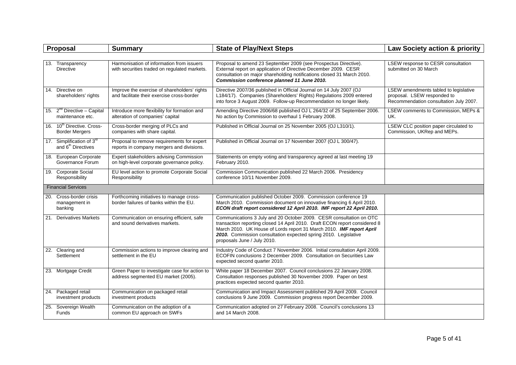|     | Proposal                                                                | <b>Summary</b>                                                                             | <b>State of Play/Next Steps</b>                                                                                                                                                                                                                                                                                             | Law Society action & priority                                                                                  |
|-----|-------------------------------------------------------------------------|--------------------------------------------------------------------------------------------|-----------------------------------------------------------------------------------------------------------------------------------------------------------------------------------------------------------------------------------------------------------------------------------------------------------------------------|----------------------------------------------------------------------------------------------------------------|
|     |                                                                         |                                                                                            |                                                                                                                                                                                                                                                                                                                             |                                                                                                                |
|     | 13. Transparency<br><b>Directive</b>                                    | Harmonisation of information from issuers<br>with securities traded on regulated markets.  | Proposal to amend 23 September 2009 (see Prospectus Directive).<br>External report on application of Directive December 2009. CESR<br>consultation on major shareholding notifications closed 31 March 2010.<br>Commission conference planned 11 June 2010.                                                                 | LSEW response to CESR consultation<br>submitted on 30 March                                                    |
| 14. | Directive on<br>shareholders' rights                                    | Improve the exercise of shareholders' rights<br>and facilitate their exercise cross-border | Directive 2007/36 published in Official Journal on 14 July 2007 (OJ<br>L184/17). Companies (Shareholders' Rights) Regulations 2009 entered<br>into force 3 August 2009. Follow-up Recommendation no longer likely.                                                                                                          | LSEW amendments tabled to legislative<br>proposal. LSEW responded to<br>Recommendation consultation July 2007. |
|     | 15. $2^{nd}$ Directive - Capital<br>maintenance etc.                    | Introduce more flexibility for formation and<br>alteration of companies' capital           | Amending Directive 2006/68 published OJ L 264/32 of 25 September 2006.<br>No action by Commission to overhaul 1 February 2008.                                                                                                                                                                                              | LSEW comments to Commission, MEPs &<br>UK.                                                                     |
|     | 16. 10 <sup>th</sup> Directive, Cross-<br><b>Border Mergers</b>         | Cross-border merging of PLCs and<br>companies with share capital.                          | Published in Official Journal on 25 November 2005 (OJ L310/1).                                                                                                                                                                                                                                                              | LSEW CLC position paper circulated to<br>Commission, UKRep and MEPs.                                           |
|     | 17. Simplification of 3 <sup>rd</sup><br>and 6 <sup>th</sup> Directives | Proposal to remove requirements for expert<br>reports in company mergers and divisions.    | Published in Official Journal on 17 November 2007 (OJ L 300/47).                                                                                                                                                                                                                                                            |                                                                                                                |
|     | 18. European Corporate<br>Governance Forum                              | Expert stakeholders advising Commission<br>on high-level corporate governance policy.      | Statements on empty voting and transparency agreed at last meeting 19<br>February 2010.                                                                                                                                                                                                                                     |                                                                                                                |
|     | 19. Corporate Social<br>Responsibility                                  | EU level action to promote Corporate Social<br>Responsibility                              | Commission Communication published 22 March 2006. Presidency<br>conference 10/11 November 2009.                                                                                                                                                                                                                             |                                                                                                                |
|     | <b>Financial Services</b>                                               |                                                                                            |                                                                                                                                                                                                                                                                                                                             |                                                                                                                |
|     | 20. Cross-border crisis<br>management in<br>banking                     | Forthcoming initiatives to manage cross-<br>border failures of banks within the EU.        | Communication published October 2009. Commission conference 19<br>March 2010. Commission document on innovative financing 6 April 2010.<br>ECON draft report considered 12 April 2010. IMF report 22 April 2010.                                                                                                            |                                                                                                                |
|     | 21. Derivatives Markets                                                 | Communication on ensuring efficient, safe<br>and sound derivatives markets.                | Communications 3 July and 20 October 2009. CESR consultation on OTC<br>transaction reporting closed 14 April 2010. Draft ECON report considered 8<br>March 2010. UK House of Lords report 31 March 2010. IMF report April<br>2010. Commission consultation expected spring 2010. Legislative<br>proposals June / July 2010. |                                                                                                                |
|     | 22. Clearing and<br>Settlement                                          | Commission actions to improve clearing and<br>settlement in the EU                         | Industry Code of Conduct 7 November 2006. Initial consultation April 2009.<br>ECOFIN conclusions 2 December 2009. Consultation on Securities Law<br>expected second quarter 2010.                                                                                                                                           |                                                                                                                |
|     | 23. Mortgage Credit                                                     | Green Paper to investigate case for action to<br>address segmented EU market (2005).       | White paper 18 December 2007. Council conclusions 22 January 2008.<br>Consultation responses published 30 November 2009. Paper on best<br>practices expected second quarter 2010.                                                                                                                                           |                                                                                                                |
|     | 24. Packaged retail<br>investment products                              | Communication on packaged retail<br>investment products                                    | Communication and Impact Assessment published 29 April 2009. Council<br>conclusions 9 June 2009. Commission progress report December 2009.                                                                                                                                                                                  |                                                                                                                |
|     | 25. Sovereign Wealth<br>Funds                                           | Communication on the adoption of a<br>common EU approach on SWFs                           | Communication adopted on 27 February 2008. Council's conclusions 13<br>and 14 March 2008.                                                                                                                                                                                                                                   |                                                                                                                |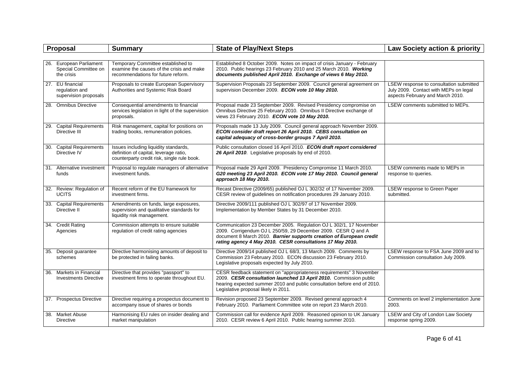| Proposal                                                      | <b>Summary</b>                                                                                                                 | <b>State of Play/Next Steps</b>                                                                                                                                                                                                                                         | Law Society action & priority                                                                                        |
|---------------------------------------------------------------|--------------------------------------------------------------------------------------------------------------------------------|-------------------------------------------------------------------------------------------------------------------------------------------------------------------------------------------------------------------------------------------------------------------------|----------------------------------------------------------------------------------------------------------------------|
|                                                               |                                                                                                                                |                                                                                                                                                                                                                                                                         |                                                                                                                      |
| 26. European Parliament<br>Special Committee on<br>the crisis | Temporary Committee established to<br>examine the causes of the crisis and make<br>recommendations for future reform.          | Established 8 October 2009. Notes on impact of crisis January - February<br>2010. Public hearings 23 February 2010 and 25 March 2010. Working<br>documents published April 2010. Exchange of views 6 May 2010.                                                          |                                                                                                                      |
| 27. EU financial<br>regulation and<br>supervision proposals   | Proposals to create European Supervisory<br>Authorities and Systemic Risk Board                                                | Supervision Proposals 23 September 2009. Council general agreement on<br>supervision December 2009. ECON vote 10 May 2010.                                                                                                                                              | LSEW response to consultation submitted<br>July 2009. Contact with MEPs on legal<br>aspects February and March 2010. |
| 28. Omnibus Directive                                         | Consequential amendments to financial<br>services legislation in light of the supervision<br>proposals.                        | Proposal made 23 September 2009. Revised Presidency compromise on<br>Omnibus Directive 25 February 2010. Omnibus II Directive exchange of<br>views 23 February 2010. ECON vote 10 May 2010.                                                                             | LSEW comments submitted to MEPs.                                                                                     |
| 29. Capital Requirements<br>Directive III                     | Risk management, capital for positions on<br>trading books, remuneration policies.                                             | Proposals made 13 July 2009. Council general approach November 2009.<br>ECON consider draft report 26 April 2010. CEBS consultation on<br>capital adequacy of cross-border groups 7 April 2010.                                                                         |                                                                                                                      |
| 30. Capital Requirements<br>Directive IV                      | Issues including liquidity standards,<br>definition of capital, leverage ratio,<br>counterparty credit risk, single rule book. | Public consultation closed 16 April 2010. ECON draft report considered<br>26 April 2010. Legislative proposals by end of 2010.                                                                                                                                          |                                                                                                                      |
| 31. Alternative investment<br>funds                           | Proposal to regulate managers of alternative<br>investment funds.                                                              | Proposal made 29 April 2009. Presidency Compromise 11 March 2010.<br>G20 meeting 23 April 2010. ECON vote 17 May 2010. Council general<br>approach 18 May 2010.                                                                                                         | LSEW comments made to MEPs in<br>response to queries.                                                                |
| 32. Review: Regulation of<br><b>UCITS</b>                     | Recent reform of the EU framework for<br>investment firms.                                                                     | Recast Directive (2009/65) published OJ L 302/32 of 17 November 2009.<br>CESR review of guidelines on notification procedures 29 January 2010.                                                                                                                          | LSEW response to Green Paper<br>submitted.                                                                           |
| 33. Capital Requirements<br>Directive II                      | Amendments on funds, large exposures,<br>supervision and qualitative standards for<br>liquidity risk management.               | Directive 2009/111 published OJ L 302/97 of 17 November 2009.<br>Implementation by Member States by 31 December 2010.                                                                                                                                                   |                                                                                                                      |
| 34. Credit Rating<br>Agencies                                 | Commission attempts to ensure suitable<br>regulation of credit rating agencies                                                 | Communication 23 December 2005. Regulation OJ L 302/1, 17 November<br>2009. Corrigendum OJ L 250/59, 29 December 2009. CESR Q and A<br>document 8 March 2010. Barnier supports creation of European credit<br>rating agency 4 May 2010. CESR consultations 17 May 2010. |                                                                                                                      |
| 35. Deposit guarantee<br>schemes                              | Directive harmonising amounts of deposit to<br>be protected in failing banks.                                                  | Directive 2009/14 published OJ L 68/3, 13 March 2009. Comments by<br>Commission 23 February 2010. ECON discussion 23 February 2010.<br>Legislative proposals expected by July 2010.                                                                                     | LSEW response to FSA June 2009 and to<br>Commission consultation July 2009.                                          |
| 36. Markets in Financial<br><b>Investments Directive</b>      | Directive that provides "passport" to<br>investment firms to operate throughout EU.                                            | CESR feedback statement on "appropriateness requirements" 3 November<br>2009. CESR consultation launched 13 April 2010. Commission public<br>hearing expected summer 2010 and public consultation before end of 2010.<br>Legislative proposal likely in 2011.           |                                                                                                                      |
| 37. Prospectus Directive                                      | Directive requiring a prospectus document to<br>accompany issue of shares or bonds                                             | Revision proposed 23 September 2009. Revised general approach 4<br>February 2010. Parliament Committee vote on report 23 March 2010.                                                                                                                                    | Comments on level 2 implementation June<br>2003.                                                                     |
| 38. Market Abuse<br><b>Directive</b>                          | Harmonising EU rules on insider dealing and<br>market manipulation                                                             | Commission call for evidence April 2009. Reasoned opinion to UK January<br>2010. CESR review 6 April 2010. Public hearing summer 2010.                                                                                                                                  | LSEW and City of London Law Society<br>response spring 2009.                                                         |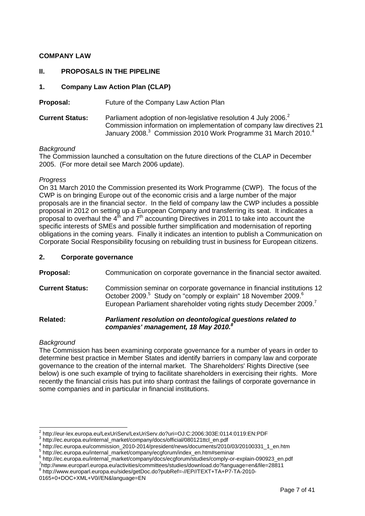#### <span id="page-6-0"></span>**COMPANY LAW**

#### **II. PROPOSALS IN THE PIPELINE**

#### **1. Company Law Action Plan (CLAP)**

**Proposal:** Future of the Company Law Action Plan

**CurrentStatus:** Parliament adoption of non-legislative resolution 4 July 2006.<sup>2</sup> Commission information on implementation of company law directives 21 January 2008.<sup>[3](#page-6-2)</sup> Commission 2010 Work Programme 31 March 2010.<sup>[4](#page-6-3)</sup>

#### *Background*

The Commission launched a consultation on the future directions of the CLAP in December 2005. (For more detail see March 2006 update).

#### *Progress*

On 31 March 2010 the Commission presented its Work Programme (CWP). The focus of the CWP is on bringing Europe out of the economic crisis and a large number of the major proposals are in the financial sector. In the field of company law the CWP includes a possible proposal in 2012 on setting up a European Company and transferring its seat. It indicates a proposal to overhaul the  $4^{th}$  and  $7^{th}$  accounting Directives in 2011 to take into account the specific interests of SMEs and possible further simplification and modernisation of reporting obligations in the coming years. Finally it indicates an intention to publish a Communication on Corporate Social Responsibility focusing on rebuilding trust in business for European citizens.

#### **2. Corporate governance**

**Proposal:** Communication on corporate governance in the financial sector awaited.

**Current Status:** Commission seminar on corporate governance in financial institutions 12 October 2009.<sup>[5](#page-6-4)</sup> Study on "comply or explain" 18 November 2009.<sup>[6](#page-6-5)</sup> EuropeanParliament shareholder voting rights study December 2009. $^7$ 

#### **Related:** *Parliament resolution on deontological questions related to companies' management, 18 May 2010.[8](#page-6-7)*

#### *Background*

The Commission has been examining corporate governance for a number of years in order to determine best practice in Member States and identify barriers in company law and corporate governance to the creation of the internal market. The Shareholders' Rights Directive (see below) is one such example of trying to facilitate shareholders in exercising their rights. More recently the financial crisis has put into sharp contrast the failings of corporate governance in some companies and in particular in financial institutions.

<sup>2&</sup>lt;br>2 http://eur-lex.europa.eu/LexUriServ/LexUriServ.do?uri=OJ:C:2006:303E:0114:0119:EN:PDF<br>3 http://es.europe.ou/internal\_merket/compony/dece/efficial/080121ttpl\_en.pdf

<span id="page-6-2"></span><span id="page-6-1"></span>http://ec.europa.eu/internal\_market/company/docs/official/080121ttcl\_en.pdf 4

<span id="page-6-3"></span>http://ec.europa.eu/commission\_2010-2014/president/news/documents/2010/03/20100331\_1\_en.htm 5

<span id="page-6-4"></span><sup>&</sup>lt;sup>5</sup> http://ec.europa.eu/internal\_market/company/ecgforum/index\_en.htm#seminar

<span id="page-6-5"></span>http://ec.europa.eu/internal\_market/company/docs/ecgforum/studies/comply-or-explain-090923\_en.pdf 7

<span id="page-6-6"></span>http://www.europarl.europa.eu/activities/committees/studies/download.do?language=en&file=28811 8

<span id="page-6-7"></span>http://www.europarl.europa.eu/sides/getDoc.do?pubRef=-//EP//TEXT+TA+P7-TA-2010-

<sup>0165+0+</sup>DOC+XML+V0//EN&language=EN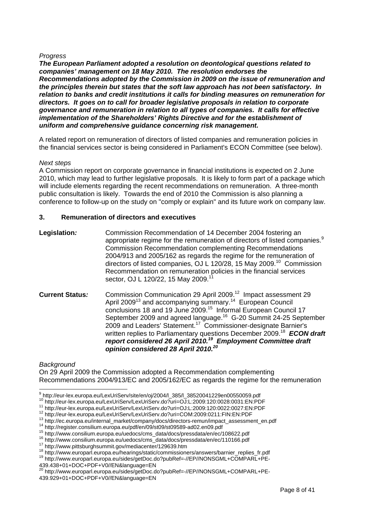#### <span id="page-7-0"></span>*Progress*

*The European Parliament adopted a resolution on deontological questions related to companies' management on 18 May 2010. The resolution endorses the Recommendations adopted by the Commission in 2009 on the issue of remuneration and the principles therein but states that the soft law approach has not been satisfactory. In relation to banks and credit institutions it calls for binding measures on remuneration for directors. It goes on to call for broader legislative proposals in relation to corporate governance and remuneration in relation to all types of companies. It calls for effective implementation of the Shareholders' Rights Directive and for the establishment of uniform and comprehensive guidance concerning risk management.*

A related report on remuneration of directors of listed companies and remuneration policies in the financial services sector is being considered in Parliament's ECON Committee (see below).

#### *Next steps*

A Commission report on corporate governance in financial institutions is expected on 2 June 2010, which may lead to further legislative proposals. It is likely to form part of a package which will include elements regarding the recent recommendations on remuneration. A three-month public consultation is likely. Towards the end of 2010 the Commission is also planning a conference to follow-up on the study on "comply or explain" and its future work on company law.

#### **3. Remuneration of directors and executives**

- **Legislation***:* Commission Recommendation of 14 December 2004 fostering an appropriate regime for the remuneration of directors of listed companies. $9$ Commission Recommendation complementing Recommendations 2004/913 and 2005/162 as regards the regime for the remuneration of directors of listed companies, OJ L 120/28, 15 May 2009.[10](#page-7-2) Commission Recommendation on remuneration policies in the financial services sector, OJ L 120/22, 15 May 2009.<sup>1</sup>
- **Current Status:** Commission Communication 29 April 2009.<sup>12</sup> Impact assessment 29 April 2009<sup>13</sup> and accompanying summary.<sup>14</sup> European Council conclusions 18 and 19 June 2009.[15](#page-7-7) Informal European Council 17 September 2009 and agreed language.[16](#page-7-8) G-20 Summit 24-25 September 2009 and Leaders' Statement.[17](#page-7-9) Commissioner-designate Barnier's written replies to Parliamentary questions December 2009[.18](#page-7-10) *ECON draft report considered 26 April 2010.[19](#page-7-11) Employment Committee draft opinion considered 28 April 2010[.20](#page-7-12)*

#### *Background*

On 29 April 2009 the Commission adopted a Recommendation complementing Recommendations 2004/913/EC and 2005/162/EC as regards the regime for the remuneration

<sup>-&</sup>lt;br>9

<span id="page-7-2"></span>

<span id="page-7-3"></span>

<span id="page-7-4"></span>

<span id="page-7-1"></span><sup>&</sup>lt;sup>10</sup> http://eur-lex.europa.eu/LexUriServ/LexUriServ.do?uri=OJ:L:2009:120:0028:0031:EN:PDF<br>
<sup>11</sup> http://eur-lex.europa.eu/LexUriServ/LexUriServ.do?uri=OJ:L:2009:120:0028:0031:EN:PDF<br>
<sup>12</sup> http://eur-lex.europa.eu/LexUriServ

<span id="page-7-6"></span><span id="page-7-5"></span>

<span id="page-7-7"></span>

<span id="page-7-8"></span>

<span id="page-7-9"></span>

<span id="page-7-10"></span>

<span id="page-7-11"></span><sup>439.438+01+</sup>DOC+PDF+V0//EN&language=EN

<span id="page-7-12"></span><sup>&</sup>lt;sup>20</sup> http://www.europarl.europa.eu/sides/getDoc.do?pubRef=-//EP//NONSGML+COMPARL+PE-439.929+01+DOC+PDF+V0//EN&language=EN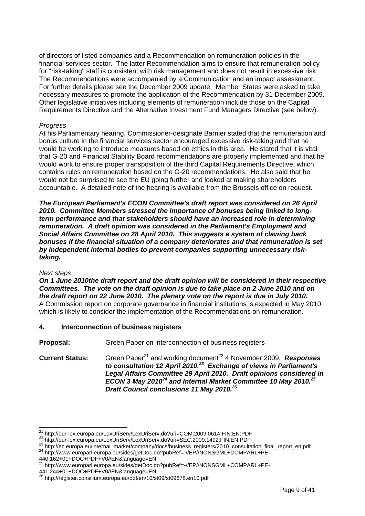<span id="page-8-0"></span>of directors of listed companies and a Recommendation on remuneration policies in the financial services sector. The latter Recommendation aims to ensure that remuneration policy for "risk-taking" staff is consistent with risk management and does not result in excessive risk. The Recommendations were accompanied by a Communication and an impact assessment. For further details please see the December 2009 update. Member States were asked to take necessary measures to promote the application of the Recommendation by 31 December 2009. Other legislative initiatives including elements of remuneration include those on the Capital Requirements Directive and the Alternative Investment Fund Managers Directive (see below).

#### *Progress*

At his Parliamentary hearing, Commissioner-designate Barnier stated that the remuneration and bonus culture in the financial services sector encouraged excessive risk-taking and that he would be working to introduce measures based on ethics in this area. He stated that it is vital that G-20 and Financial Stability Board recommendations are properly implemented and that he would work to ensure proper transposition of the third Capital Requirements Directive, which contains rules on remuneration based on the G-20 recommendations. He also said that he would not be surprised to see the EU going further and looked at making shareholders accountable. A detailed note of the hearing is available from the Brussels office on request.

*The European Parliament's ECON Committee's draft report was considered on 26 April 2010. Committee Members stressed the importance of bonuses being linked to longterm performance and that stakeholders should have an increased role in determining remuneration. A draft opinion was considered in the Parliament's Employment and Social Affairs Committee on 28 April 2010. This suggests a system of clawing back bonuses if the financial situation of a company deteriorates and that remuneration is set by independent internal bodies to prevent companies supporting unnecessary risktaking.* 

#### *Next steps*

*On 1 June 2010the draft report and the draft opinion will be considered in their respective Committees. The vote on the draft opinion is due to take place on 2 June 2010 and on the draft report on 22 June 2010. The plenary vote on the report is due in July 2010.*  A Commission report on corporate governance in financial institutions is expected in May 2010, which is likely to consider the implementation of the Recommendations on remuneration.

#### **4. Interconnection of business registers**

**Proposal:** Green Paper on interconnection of business registers

**Current Status:** Green Paper<sup>21</sup> and working document<sup>22</sup> 4 November 2009. **Responses** *to consultation 12 April 2010.[23](#page-8-3) Exchange of views in Parliament's Legal Affairs Committee 29 April 2010. Draft opinions considered in ECON 3 May 2010[24](#page-8-4) and Internal Market Committee 10 May 2010.[25](#page-8-5)  Draft Council conclusions 11 May 2010[.26](#page-8-6)*

<span id="page-8-1"></span><sup>&</sup>lt;sup>21</sup> http://eur-lex.europa.eu/LexUriServ/LexUriServ.do?uri=COM:2009:0614:FIN:EN:PDF

<span id="page-8-3"></span><span id="page-8-2"></span>

<sup>22</sup> http://eur-lex.europa.eu/LexUriServ/LexUriServ.do?uri=SEC:2009:1492:FIN:EN:PDF<br>23 http://ec.europa.eu/internal\_market/company/docs/business\_registers/2010\_consultation\_final\_report\_en.pdf<br>24 http://www.europarl.europa.e

<span id="page-8-4"></span>

<sup>440.162+01+</sup>DOC+PDF+V0//EN&language=EN

<span id="page-8-5"></span><sup>&</sup>lt;sup>25</sup> http://www.europarl.europa.eu/sides/getDoc.do?pubRef=-//EP//NONSGML+COMPARL+PE-

<sup>441.244+01+</sup>DOC+PDF+V0//EN&language=EN

<span id="page-8-6"></span><sup>&</sup>lt;sup>26</sup> <http://register.consilium.europa.eu/pdf/en/10/st09/st09678.en10.pdf>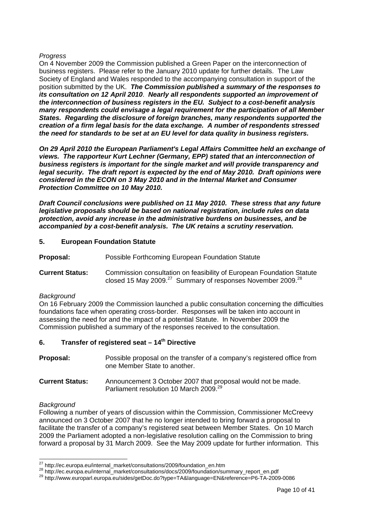#### <span id="page-9-0"></span>*Progress*

On 4 November 2009 the Commission published a Green Paper on the interconnection of business registers. Please refer to the January 2010 update for further details. The Law Society of England and Wales responded to the accompanying consultation in support of the position submitted by the UK. *The Commission published a summary of the responses to its consultation on 12 April 2010*. *Nearly all respondents supported an improvement of the interconnection of business registers in the EU. Subject to a cost-benefit analysis many respondents could envisage a legal requirement for the participation of all Member States. Regarding the disclosure of foreign branches, many respondents supported the creation of a firm legal basis for the data exchange. A number of respondents stressed the need for standards to be set at an EU level for data quality in business registers.* 

*On 29 April 2010 the European Parliament's Legal Affairs Committee held an exchange of views. The rapporteur Kurt Lechner (Germany, EPP) stated that an interconnection of business registers is important for the single market and will provide transparency and legal security. The draft report is expected by the end of May 2010. Draft opinions were considered in the ECON on 3 May 2010 and in the Internal Market and Consumer Protection Committee on 10 May 2010.* 

*Draft Council conclusions were published on 11 May 2010. These stress that any future legislative proposals should be based on national registration, include rules on data protection, avoid any increase in the administrative burdens on businesses, and be accompanied by a cost-benefit analysis. The UK retains a scrutiny reservation.* 

#### **5. European Foundation Statute**

**Proposal:** Possible Forthcoming European Foundation Statute

**Current Status:** Commission consultation on feasibility of European Foundation Statute closed 15 May 2009.<sup>27</sup> Summary of responses November 2009.<sup>[28](#page-9-2)</sup>

#### *Background*

On 16 February 2009 the Commission launched a public consultation concerning the difficulties foundations face when operating cross-border. Responses will be taken into account in assessing the need for and the impact of a potential Statute. In November 2009 the Commission published a summary of the responses received to the consultation.

#### **6. Transfer of registered seat – 14th Directive**

| Proposal: | Possible proposal on the transfer of a company's registered office from |
|-----------|-------------------------------------------------------------------------|
|           | one Member State to another.                                            |

**Current Status:** Announcement 3 October 2007 that proposal would not be made. Parliament resolution 10 March 2009.<sup>29</sup>

#### *Background*

Following a number of years of discussion within the Commission, Commissioner McCreevy announced on 3 October 2007 that he no longer intended to bring forward a proposal to facilitate the transfer of a company's registered seat between Member States. On 10 March 2009 the Parliament adopted a non-legislative resolution calling on the Commission to bring forward a proposal by 31 March 2009. See the May 2009 update for further information. This

<span id="page-9-1"></span><sup>&</sup>lt;sup>27</sup> http://ec.europa.eu/internal\_market/consultations/2009/foundation\_en.htm

<span id="page-9-3"></span><span id="page-9-2"></span>

<sup>28</sup> http://ec.europa.eu/internal\_market/consultations/docs/2009/foundation/summary\_report\_en.pdf<br>29 http://www.europarl.europa.eu/sides/getDoc.do?type=TA&language=EN&reference=P6-TA-2009-0086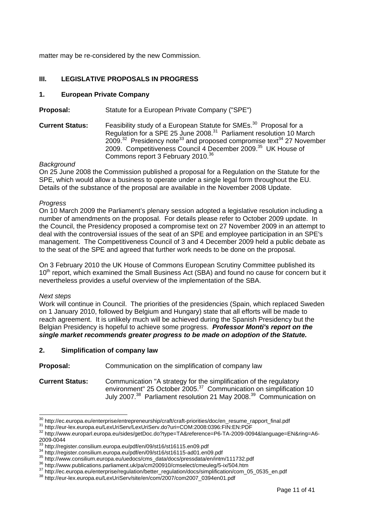<span id="page-10-0"></span>matter may be re-considered by the new Commission.

#### **III. LEGISLATIVE PROPOSALS IN PROGRESS**

#### **1. European Private Company**

**Proposal:** Statute for a European Private Company ("SPE")

**Current Status:** Feasibility study of a European Statute for SMEs.<sup>30</sup> Proposal for a Regulation for a SPE 25 June 2008[.31](#page-10-2) Parliament resolution 10 March  $2009.<sup>32</sup>$  Presidency note<sup>33</sup> and proposed compromise text<sup>34</sup> 27 November 2009. Competitiveness Council 4 December 2009.<sup>35</sup> UK House of Commons report 3 February 2010.<sup>36</sup>

#### *Background*

On 25 June 2008 the Commission published a proposal for a Regulation on the Statute for the SPE, which would allow a business to operate under a single legal form throughout the EU. Details of the substance of the proposal are available in the November 2008 Update.

#### *Progress*

On 10 March 2009 the Parliament's plenary session adopted a legislative resolution including a number of amendments on the proposal. For details please refer to October 2009 update. In the Council, the Presidency proposed a compromise text on 27 November 2009 in an attempt to deal with the controversial issues of the seat of an SPE and employee participation in an SPE's management. The Competitiveness Council of 3 and 4 December 2009 held a public debate as to the seat of the SPE and agreed that further work needs to be done on the proposal.

On 3 February 2010 the UK House of Commons European Scrutiny Committee published its 10<sup>th</sup> report, which examined the Small Business Act (SBA) and found no cause for concern but it nevertheless provides a useful overview of the implementation of the SBA.

#### *Next steps*

Work will continue in Council. The priorities of the presidencies (Spain, which replaced Sweden on 1 January 2010, followed by Belgium and Hungary) state that all efforts will be made to reach agreement. It is unlikely much will be achieved during the Spanish Presidency but the Belgian Presidency is hopeful to achieve some progress. *Professor Monti's report on the single market recommends greater progress to be made on adoption of the Statute.* 

#### **2. Simplification of company law**

**Proposal:** Communication on the simplification of company law

<span id="page-10-10"></span>**Current Status:** Communication "A strategy for the simplification of the regulatory environment" 25 October 2005.<sup>37</sup> Communication on simplification 10 July 2007.<sup>38</sup> Parliament resolution 21 May 2008.<sup>39</sup> Communication on

<span id="page-10-1"></span><sup>30</sup> http://ec.europa.eu/enterprise/entrepreneurship/craft/craft-priorities/doc/en\_resume\_rapport\_final.pdf

<span id="page-10-3"></span><span id="page-10-2"></span>

<sup>31</sup> http://eur-lex.europa.eu/LexUriServ/LexUriServ.do?uri=COM:2008:0396:FIN:EN:PDF<br>32 http://www.europarl.europa.eu/sides/getDoc.do?type=TA&reference=P6-TA-2009-0094&language=EN&ring=A6-2009-0044<br><sup>33</sup> http://register.consilium.europa.eu/pdf/en/09/st16/st16115.en09.pdf

<span id="page-10-4"></span>

<span id="page-10-5"></span>

<span id="page-10-6"></span>

<span id="page-10-7"></span>

<sup>&</sup>lt;sup>34</sup> http://register.consilium.europa.eu/pdf/en/09/st16/st16115-ad01.en09.pdf<br>
<sup>35</sup> http://www.consilium.europa.eu/uedocs/cms\_data/docs/pressdata/en/intm/111732.pdf<br>
<sup>36</sup> http://www.publications.parliament.uk/pa/cm200910/c

<span id="page-10-9"></span><span id="page-10-8"></span>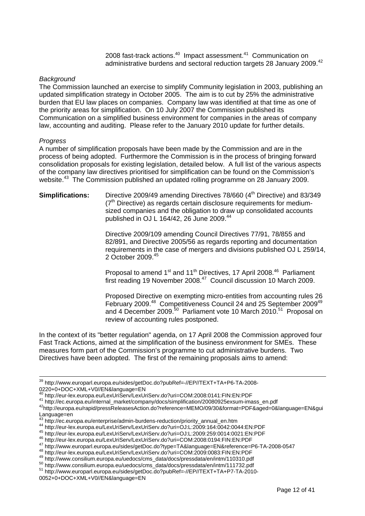2008 fast-track actions.<sup>40</sup> Impact assessment.<sup>41</sup> Communication on administrative burdens and sectoral reduction targets 28 January 2009.<sup>42</sup>

#### *Background*

The Commission launched an exercise to simplify Community legislation in 2003, publishing an updated simplification strategy in October 2005. The aim is to cut by 25% the administrative burden that EU law places on companies. Company law was identified at that time as one of the priority areas for simplification. On 10 July 2007 the Commission published its Communication on a simplified business environment for companies in the areas of company law, accounting and auditing. Please refer to the January 2010 update for further details.

#### *Progress*

A number of simplification proposals have been made by the Commission and are in the process of being adopted. Furthermore the Commission is in the process of bringing forward consolidation proposals for existing legislation, detailed below. A full list of the various aspects of the company law directives prioritised for simplification can be found on the Commission's website.<sup>43</sup> The Commission published an updated rolling programme on 28 January 2009.

#### **Simplifications:** Directive 2009/49 amending Directives 78/660 (4<sup>th</sup> Directive) and 83/349  $(7<sup>th</sup>$  Directive) as regards certain disclosure requirements for mediumsized companies and the obligation to draw up consolidated accounts published in OJ L 164/42, 26 June  $2009.<sup>44</sup>$

Directive 2009/109 amending Council Directives 77/91, 78/855 and 82/891, and Directive 2005/56 as regards reporting and documentation requirements in the case of mergers and divisions published OJ L 259/14, 2 October 2009.[45](#page-11-5)

Proposal to amend 1<sup>st</sup> and 11<sup>th</sup> Directives, 17 April 2008.<sup>46</sup> Parliament first reading 19 November 2008. $47$  Council discussion 10 March 2009.

Proposed Directive on exempting micro-entities from accounting rules 26 February 2009.<sup>[48](#page-11-8)</sup> Competitiveness Council 24 and 25 September 2009<sup>[49](#page-11-9)</sup> and 4 December 2009.[50](#page-11-10) Parliament vote 10 March 2010.[51](#page-11-11)Proposal on review of accounting rules postponed.

In the context of its "better regulation" agenda, on 17 April 2008 the Commission approved four Fast Track Actions, aimed at the simplification of the business environment for SMEs. These measures form part of the Commission's programme to cut administrative burdens. Two Directives have been adopted. The first of the remaining proposals aims to amend:

<sup>&</sup>lt;sup>39</sup> http://www.europarl.europa.eu/sides/getDoc.do?pubRef=-//EP//TEXT+TA+P6-TA-2008-

<sup>0220+0+</sup>DOC+XML+V0//EN&language=EN<br>40 http://eur-lex.europa.eu/LexUriServ/LexUriServ.do?uri=COM:2008:0141:FIN:EN:PDF

<span id="page-11-2"></span><span id="page-11-1"></span>

<span id="page-11-0"></span><sup>41</sup> http://ec.europa.eu/internal\_market/company/docs/simplification/20080925exsum-imass\_en.pdf<br>42 http://ec.europa.eu/internal\_market/company/docs/simplification/20080925exsum-imass\_en.pdf<br>42 http://europa.eu/rapid/pressRel Language=en<br><sup>43</sup> http://ec.europa.eu/enterprise/admin-burdens-reduction/priority\_annual\_en.htm

<span id="page-11-3"></span>

<span id="page-11-4"></span>

<span id="page-11-5"></span>

<span id="page-11-7"></span><span id="page-11-6"></span>

<sup>44</sup> http://eur-lex.europa.eu/LexUriServ/LexUriServ.do?uri=OJ:L:2009:164:0042:0044:EN:PDF<br>45 http://eur-lex.europa.eu/LexUriServ/LexUriServ.do?uri=OJ:L:2009:164:0042:0044:EN:PDF<br>45 http://eur-lex.europa.eu/LexUriServ/LexUriS

<span id="page-11-8"></span>

<span id="page-11-9"></span>

<span id="page-11-10"></span>

<span id="page-11-11"></span><sup>0052+0+</sup>DOC+XML+V0//EN&language=EN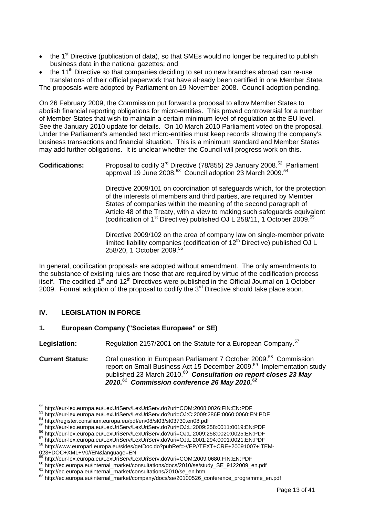- <span id="page-12-0"></span>• the 1<sup>st</sup> Directive (publication of data), so that SMEs would no longer be required to publish business data in the national gazettes; and
- the 11<sup>th</sup> Directive so that companies deciding to set up new branches abroad can re-use translations of their official paperwork that have already been certified in one Member State. The proposals were adopted by Parliament on 19 November 2008. Council adoption pending.

On 26 February 2009, the Commission put forward a proposal to allow Member States to abolish financial reporting obligations for micro-entities. This proved controversial for a number of Member States that wish to maintain a certain minimum level of regulation at the EU level. See the January 2010 update for details. On 10 March 2010 Parliament voted on the proposal. Under the Parliament's amended text micro-entities must keep records showing the company's business transactions and financial situation. This is a minimum standard and Member States may add further obligations. It is unclear whether the Council will progress work on this.

**Codifications:** Proposal to codify 3rd Directive (78/855) 29 January 2008[.52](#page-12-1)Parliament approval 19 June 2008. $^{53}$  Council adoption 23 March 2009. $^{54}$  $^{54}$  $^{54}$ 

> Directive 2009/101 on coordination of safeguards which, for the protection of the interests of members and third parties, are required by Member States of companies within the meaning of the second paragraph of Article 48 of the Treaty, with a view to making such safeguards equivalent (codification of 1<sup>st</sup> Directive) published OJ L 258/11, 1 October 2009.<sup>[55](#page-12-4)</sup>

> Directive 2009/102 on the area of company law on single-member private limited liability companies (codification of  $12<sup>th</sup>$  Directive) published OJ L 258/20, 1 October 2009.[56](#page-12-5)

In general, codification proposals are adopted without amendment. The only amendments to the substance of existing rules are those that are required by virtue of the codification process itself. The codified 1<sup>st</sup> and 12<sup>th</sup> Directives were published in the Official Journal on 1 October 2009. Formal adoption of the proposal to codify the  $3<sup>rd</sup>$  Directive should take place soon.

#### **IV. LEGISLATION IN FORCE**

#### **1. European Company ("Societas Europaea" or SE)**

**Legislation:** Regulation 2157/2001 on the Statute for a European Company.<sup>57</sup>

**Current Status:** Oral question in European Parliament 7 October 2009.<sup>58</sup> Commission report on Small Business Act 15 December 2009.[59](#page-12-8) Implementation study published 23 March 2010.[60](#page-12-9) *Consultation on report closes 23 May 2010.[61](#page-12-10) Commission conference 26 May 2010.[62](#page-12-11)* 

<span id="page-12-1"></span><sup>52</sup> http://eur-lex.europa.eu/LexUriServ/LexUriServ.do?uri=COM:2008:0026:FIN:EN:PDF

<span id="page-12-2"></span> $53   
http://eur-lex.europa.eu/LexUriServ/LexUriServ.do?uri=OJ:C:2009:286E:0060:0060:EN:PDF  
54   
http://register.consilium.europa.eu/pdf/en/08/st03/st03730_en08.pdf  
55   
http://eur-lex.europa.eu/LexUriServ/LexUriServ.do?uri=OJ:L:2009:258:0011:0019:EN:PDF  
56   
57   
http://eur-lex.europa.eu/LexUriServ/LexUriServ.do?uri=OJ:L:2009:258:0020:0025:EN:PDF  
57$ 

<span id="page-12-4"></span><span id="page-12-3"></span>

<span id="page-12-5"></span>

<span id="page-12-6"></span>

<span id="page-12-7"></span><sup>023+</sup>DOC+XML+V0//EN&language=EN<br><sup>59</sup> http://eur-lex.europa.eu/LexUriServ/LexUriServ.do?uri=COM:2009:0680:FIN:EN:PDF

<span id="page-12-8"></span>

<span id="page-12-9"></span>

<span id="page-12-11"></span><span id="page-12-10"></span>

 $^{60}$  http://ec.europa.eu/internal\_market/consultations/docs/2010/se/study\_SE\_9122009\_en.pdf<br> $^{61}$  http://ec.europa.eu/internal\_market/consultations/2010/se\_en.htm<br> $^{61}$  http://ec.europa.eu/internal\_market/company/docs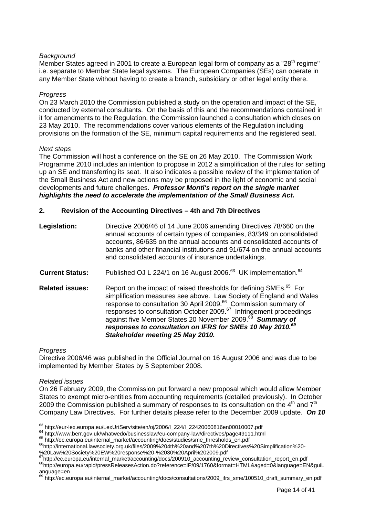#### <span id="page-13-0"></span>*Background*

Member States agreed in 2001 to create a European legal form of company as a "28<sup>th</sup> regime" i.e. separate to Member State legal systems. The European Companies (SEs) can operate in any Member State without having to create a branch, subsidiary or other legal entity there.

#### *Progress*

On 23 March 2010 the Commission published a study on the operation and impact of the SE, conducted by external consultants. On the basis of this and the recommendations contained in it for amendments to the Regulation, the Commission launched a consultation which closes on 23 May 2010. The recommendations cover various elements of the Regulation including provisions on the formation of the SE, minimum capital requirements and the registered seat.

#### *Next steps*

The Commission will host a conference on the SE on 26 May 2010. The Commission Work Programme 2010 includes an intention to propose in 2012 a simplification of the rules for setting up an SE and transferring its seat. It also indicates a possible review of the implementation of the Small Business Act and new actions may be proposed in the light of economic and social developments and future challenges. *Professor Monti's report on the single market highlights the need to accelerate the implementation of the Small Business Act.* 

#### **2. Revision of the Accounting Directives – 4th and 7th Directives**

| Legislation:           | Directive 2006/46 of 14 June 2006 amending Directives 78/660 on the<br>annual accounts of certain types of companies, 83/349 on consolidated<br>accounts, 86/635 on the annual accounts and consolidated accounts of<br>banks and other financial institutions and 91/674 on the annual accounts<br>and consolidated accounts of insurance undertakings. |
|------------------------|----------------------------------------------------------------------------------------------------------------------------------------------------------------------------------------------------------------------------------------------------------------------------------------------------------------------------------------------------------|
| <b>Current Status:</b> | Published OJ L 224/1 on 16 August 2006. <sup>63</sup> UK implementation. <sup>64</sup>                                                                                                                                                                                                                                                                   |
| <b>Related issues:</b> | Report on the impact of raised thresholds for defining SMEs. <sup>65</sup> For<br>$\mathbf{r} = \mathbf{r} \mathbf{r}$ and $\mathbf{r} = \mathbf{r}$ and $\mathbf{r} = \mathbf{r} \mathbf{r}$ and $\mathbf{r} = \mathbf{r} \mathbf{r}$ and $\mathbf{r} = \mathbf{r} \mathbf{r}$                                                                          |

simplification measures see above. Law Society of England and Wales response to consultation 30 April 2009.<sup>66</sup> Commission summary of responses to consultation October 2009.<sup>67</sup> Infringement proceedings against five Member States 20 November 2009.[68](#page-13-6) *Summary of responses to consultation on IFRS for SMEs 10 May 2010.[69](#page-13-7)  Stakeholder meeting 25 May 2010.* 

#### *Progress*

Directive 2006/46 was published in the Official Journal on 16 August 2006 and was due to be implemented by Member States by 5 September 2008.

#### *Related issues*

On 26 February 2009, the Commission put forward a new proposal which would allow Member States to exempt micro-entities from accounting requirements (detailed previously). In October 2009 the Commission published a summary of responses to its consultation on the  $4<sup>th</sup>$  and  $7<sup>th</sup>$ Company Law Directives. For further details please refer to the December 2009 update. *On 10* 

<span id="page-13-1"></span><sup>63</sup> http://eur-lex.europa.eu/LexUriServ/site/en/oj/2006/I\_224/I\_22420060816en00010007.pdf

<span id="page-13-4"></span><span id="page-13-3"></span>

<span id="page-13-2"></span><sup>&</sup>lt;sup>64</sup>http://www.berr.gov.uk/whatwedo/businesslaw/eu-company-law/directives/page49111.html<br><sup>65</sup>http://ec.europa.eu/internal\_market/accounting/docs/studies/sme\_thresholds\_en.pdf<br><sup>66</sup>http://international.lawsociety.org.uk/file %20Law%20Society%20EW%20response%20-%2030%20April%202009.pdf

<span id="page-13-6"></span><span id="page-13-5"></span>

<sup>67</sup>http://ec.europa.eu/internal\_market/accounting/docs/200910\_accounting\_review\_consultation\_report\_en.pdf<br><sup>68</sup>http://europa.eu/rapid/pressReleasesAction.do?reference=IP/09/1760&format=HTML&aged=0&language=EN&guiL anguage=en

<span id="page-13-7"></span><sup>&</sup>lt;sup>69</sup> http://ec.europa.eu/internal\_market/accounting/docs/consultations/2009\_ifrs\_sme/100510\_draft\_summary\_en.pdf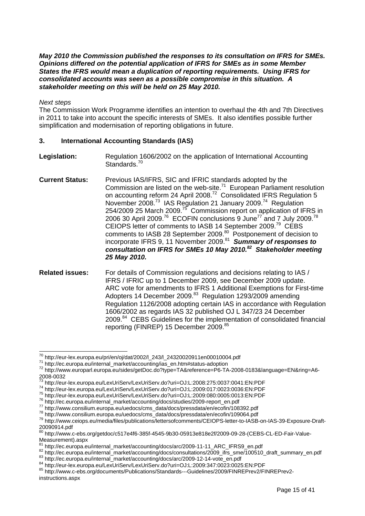<span id="page-14-0"></span>*May 2010 the Commission published the responses to its consultation on IFRS for SMEs. Opinions differed on the potential application of IFRS for SMEs as in some Member States the IFRS would mean a duplication of reporting requirements. Using IFRS for consolidated accounts was seen as a possible compromise in this situation. A stakeholder meeting on this will be held on 25 May 2010.* 

#### *Next steps*

The Commission Work Programme identifies an intention to overhaul the 4th and 7th Directives in 2011 to take into account the specific interests of SMEs. It also identifies possible further simplification and modernisation of reporting obligations in future.

#### **3. International Accounting Standards (IAS)**

- **Legislation:** Regulation 1606/2002 on the application of International Accounting Standards.<sup>70</sup>
- **Current Status:** Previous IAS/IFRS, SIC and IFRIC standards adopted by the Commission are listed on the web-site.[71](#page-14-2) European Parliament resolution on accounting reform 24 April 2008.<sup>72</sup> Consolidated IFRS Regulation 5 November 2008.<sup>73</sup> IAS Regulation 21 January 2009.<sup>74</sup> Regulation 254/2009 25 March 2009.[75](#page-14-6) Commission report on application of IFRS in 2006 30 April 2009.<sup>76</sup> ECOFIN conclusions 9 June<sup>77</sup> and 7 July 2009.<sup>78</sup> CEIOPS letter of comments to IASB 14 September 2009.[79](#page-14-10) CEBS comments to IASB 28 September 2009.<sup>80</sup> Postponement of decision to incorporate IFRS 9, 11 November 2009.[81](#page-14-12) *Summary of responses to consultation on IFRS for SMEs 10 May 2010.[82](#page-14-13) Stakeholder meeting 25 May 2010.*
- **Related issues:** For details of Commission regulations and decisions relating to IAS / IFRS / IFRIC up to 1 December 2009, see December 2009 update. ARC vote for amendments to IFRS 1 Additional Exemptions for First-time Adopters 14 December 2009.<sup>83</sup> Regulation 1293/2009 amending Regulation 1126/2008 adopting certain IAS in accordance with Regulation 1606/2002 as regards IAS 32 published OJ L 347/23 24 December 2009.[84](#page-14-15) CEBS Guidelines for the implementation of consolidated financial reporting (FINREP) 15 December 2009.<sup>85</sup>

<span id="page-14-1"></span><sup>70</sup> http://eur-lex.europa.eu/pri/en/oj/dat/2002/l\_243/l\_24320020911en00010004.pdf

<span id="page-14-3"></span><span id="page-14-2"></span>

<sup>71</sup> http://edi-lex.ediopa.ed/pri/eri/of/dav2002/1\_2-of/1\_2-o20020011010001000100010001<br>71 http://ec.europa.eu/internal\_market/accounting/ias\_en.htm#status-adoption<br>72 http://www.europarl.europa.eu/sides/getDoc.do?type=TA&re 2008-0032<br>73 http://eur-lex.europa.eu/LexUriServ/LexUriServ.do?uri=OJ:L:2008:275:0037:0041:EN:PDF

<span id="page-14-4"></span>

<span id="page-14-5"></span>

<span id="page-14-6"></span>

<span id="page-14-7"></span>

<span id="page-14-8"></span>

<span id="page-14-10"></span><span id="page-14-9"></span>

<sup>73</sup> http://eur-lex.europa.eu/LexUriServ/LexUriServ.do?uri=OJ:L:2008:275:0037:0041:EN:PDF 74 http://eur-lex.europa.eu/LexUriServ/LexUriServ.do?uri=OJ:L:2009:017:0023:0036:EN:PDF 75 http://eur-lex.europa.eu/LexUriServ/LexUriServ.do?uri=OJ:L:2009:080:0005:0013:EN:PDF 76 http://ec.europa.eu/internal\_market/accounting/docs/studies/2009-report\_en.pdf 77 http://www.consilium.europa.eu/uedocs/cms\_data/docs/pressdata/en/ecofin/108392.pdf 78 http://www.consilium.europa.eu/uedocs/cms\_data/docs/pressdata/en/ecofin/109064.pdf 79 http://www.ceiops.eu/media/files/publications/lettersofcomments/CEIOPS-letter-to-IASB-on-IAS-39-Exposure-Draft-20090914.pdf

<span id="page-14-11"></span><sup>80</sup> http://www.c-ebs.org/getdoc/c517e4f6-385f-4545-9b30-05913e818e2f/2009-09-28-(CEBS-CL-ED-Fair-Value-Measurement).aspx<br><sup>81</sup> http://ec.europa.eu/internal\_market/accounting/docs/arc/2009-11-11\_ARC\_IFRS9\_en.pdf

<span id="page-14-12"></span>

<span id="page-14-13"></span><sup>82</sup> http://ec.europa.eu/internal\_market/accounting/docs/consultations/2009\_ifrs\_sme/100510\_draft\_summary\_en.pdf<br>83 [http://ec.europa.eu/internal\\_market/accounting/docs/arc/2009-12-14-vote\\_en.pdf](http://ec.europa.eu/internal_market/accounting/docs/arc/2009-12-14-vote_en.pdf)<br>84 http://eur-lex.europa.eu/L

<span id="page-14-14"></span>

<span id="page-14-15"></span>

<span id="page-14-16"></span>instructions.aspx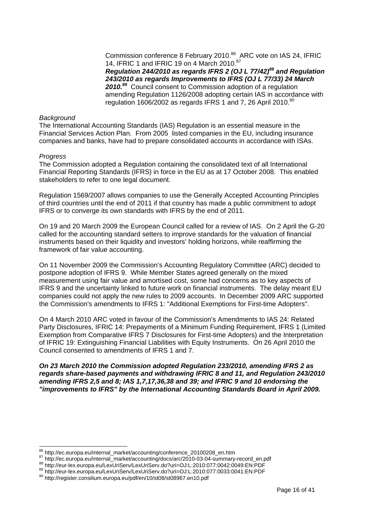Commission conference 8 February 2010.<sup>86</sup> ARC vote on IAS 24, IFRIC 14, IFRIC 1 and IFRIC 19 on 4 March 2010.<sup>87</sup> *Regulation 244/2010 as regards IFRS 2 (OJ L 77/42)[88](#page-15-2) and Regulation 243/2010 as regards Improvements to IFRS (OJ L 77/33) 24 March 2010.[89](#page-15-3)* Council consent to Commission adoption of a regulation amending Regulation 1126/2008 adopting certain IAS in accordance with regulation 1606/2002 as regards IFRS 1 and 7, 26 April 2010.<sup>90</sup>

#### *Background*

The International Accounting Standards (IAS) Regulation is an essential measure in the Financial Services Action Plan. From 2005 listed companies in the EU, including insurance companies and banks, have had to prepare consolidated accounts in accordance with ISAs.

#### *Progress*

The Commission adopted a Regulation containing the consolidated text of all International Financial Reporting Standards (IFRS) in force in the EU as at 17 October 2008. This enabled stakeholders to refer to one legal document.

Regulation 1569/2007 allows companies to use the Generally Accepted Accounting Principles of third countries until the end of 2011 if that country has made a public commitment to adopt IFRS or to converge its own standards with IFRS by the end of 2011.

On 19 and 20 March 2009 the European Council called for a review of IAS. On 2 April the G-20 called for the accounting standard setters to improve standards for the valuation of financial instruments based on their liquidity and investors' holding horizons, while reaffirming the framework of fair value accounting.

On 11 November 2009 the Commission's Accounting Regulatory Committee (ARC) decided to postpone adoption of IFRS 9. While Member States agreed generally on the mixed measurement using fair value and amortised cost, some had concerns as to key aspects of IFRS 9 and the uncertainty linked to future work on financial instruments. The delay meant EU companies could not apply the new rules to 2009 accounts. In December 2009 ARC supported the Commission's amendments to IFRS 1: "Additional Exemptions for First-time Adopters".

On 4 March 2010 ARC voted in favour of the Commission's Amendments to IAS 24: Related Party Disclosures, IFRIC 14: Prepayments of a Minimum Funding Requirement, IFRS 1 (Limited Exemption from Comparative IFRS 7 Disclosures for First-time Adopters) and the Interpretation of IFRIC 19: Extinguishing Financial Liabilities with Equity Instruments. On 26 April 2010 the Council consented to amendments of IFRS 1 and 7.

*On 23 March 2010 the Commission adopted Regulation 233/2010, amending IFRS 2 as regards share-based payments and withdrawing IFRIC 8 and 11, and Regulation 243/2010 amending IFRS 2,5 and 8; IAS 1,7,17,36,38 and 39; and IFRIC 9 and 10 endorsing the "improvements to IFRS" by the International Accounting Standards Board in April 2009.* 

<span id="page-15-0"></span><sup>86</sup> http://ec.europa.eu/internal market/accounting/conference\_20100208\_en.htm

<span id="page-15-1"></span><sup>&</sup>lt;sup>87</sup> [http://ec.europa.eu/internal\\_market/accounting/docs/arc/2010-03-04-summary-record\\_en.pdf](http://ec.europa.eu/internal_market/accounting/docs/arc/2010-03-04-summary-record_en.pdf)<br>
<sup>88</sup> http://eur-lex.europa.eu/LexUriServ/LexUriServ.do?uri=OJ:L:2010:077:0042:0049:EN:PDF<br>
<sup>89</sup> http://eur-lex.europa.eu/LexUr

<span id="page-15-2"></span>

<span id="page-15-3"></span>

<span id="page-15-4"></span>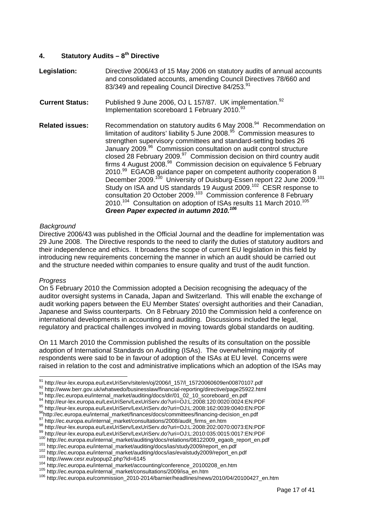#### <span id="page-16-0"></span>**4. Statutory Audits – 8th Directive**

| Legislation:           | Directive 2006/43 of 15 May 2006 on statutory audits of annual accounts<br>and consolidated accounts, amending Council Directives 78/660 and<br>83/349 and repealing Council Directive 84/253.91                                                                                                                                                                                                                                                                                                                                                                                                                                                                                                                                                                                                                                                                                                                                                                                                    |
|------------------------|-----------------------------------------------------------------------------------------------------------------------------------------------------------------------------------------------------------------------------------------------------------------------------------------------------------------------------------------------------------------------------------------------------------------------------------------------------------------------------------------------------------------------------------------------------------------------------------------------------------------------------------------------------------------------------------------------------------------------------------------------------------------------------------------------------------------------------------------------------------------------------------------------------------------------------------------------------------------------------------------------------|
| <b>Current Status:</b> | Published 9 June 2006, OJ L 157/87. UK implementation. <sup>92</sup><br>Implementation scoreboard 1 February 2010. <sup>93</sup>                                                                                                                                                                                                                                                                                                                                                                                                                                                                                                                                                                                                                                                                                                                                                                                                                                                                    |
| <b>Related issues:</b> | Recommendation on statutory audits 6 May 2008. <sup>94</sup> Recommendation on<br>limitation of auditors' liability 5 June 2008. <sup>95</sup> Commission measures to<br>strengthen supervisory committees and standard-setting bodies 26<br>January 2009. <sup>96</sup> Commission consultation on audit control structure<br>closed 28 February 2009. <sup>97</sup> Commission decision on third country audit<br>firms 4 August 2008. <sup>98</sup> Commission decision on equivalence 5 February<br>2010.99 EGAOB guidance paper on competent authority cooperation 8<br>December 2009. <sup>100</sup> University of Duisburg-Essen report 22 June 2009. <sup>101</sup><br>Study on ISA and US standards 19 August 2009. <sup>102</sup> CESR response to<br>consultation 20 October 2009. <sup>103</sup> Commission conference 8 February<br>2010. <sup>104</sup> Consultation on adoption of ISAs results 11 March 2010. <sup>105</sup><br>Green Paper expected in autumn 2010. <sup>106</sup> |

#### *Background*

Directive 2006/43 was published in the Official Journal and the deadline for implementation was 29 June 2008. The Directive responds to the need to clarify the duties of statutory auditors and their independence and ethics. It broadens the scope of current EU legislation in this field by introducing new requirements concerning the manner in which an audit should be carried out and the structure needed within companies to ensure quality and trust of the audit function.

#### *Progress*

On 5 February 2010 the Commission adopted a Decision recognising the adequacy of the auditor oversight systems in Canada, Japan and Switzerland. This will enable the exchange of audit working papers between the EU Member States' oversight authorities and their Canadian, Japanese and Swiss counterparts. On 8 February 2010 the Commission held a conference on international developments in accounting and auditing. Discussions included the legal, regulatory and practical challenges involved in moving towards global standards on auditing.

On 11 March 2010 the Commission published the results of its consultation on the possible adoption of International Standards on Auditing (ISAs). The overwhelming majority of respondents were said to be in favour of adoption of the ISAs at EU level. Concerns were raised in relation to the cost and administrative implications which an adoption of the ISAs may

 $^{91}$ http://eur-lex.europa.eu/LexUriServ/site/en/oj/2006/l\_157/l\_15720060609en00870107.pdf

<span id="page-16-2"></span>

<span id="page-16-4"></span><span id="page-16-3"></span>

<span id="page-16-1"></span><sup>&</sup>lt;sup>91</sup> http://eur-lex.europa.eu/LexUriServ/site/en/oj/2006/1\_157/1\_15720060609en00870107.pdf<br><sup>92</sup> http://www.berr.gov.uk/whatwedo/businesslaw/financial-reporting/directive/page25922.html<br><sup>93</sup> http://ec.europa.eu/LexUriServ/L

<span id="page-16-5"></span>

<span id="page-16-6"></span>

<span id="page-16-8"></span><span id="page-16-7"></span>

<span id="page-16-9"></span>

<span id="page-16-10"></span>

<span id="page-16-11"></span>

<span id="page-16-12"></span>

<span id="page-16-13"></span>

<span id="page-16-14"></span>

<span id="page-16-15"></span>

<span id="page-16-16"></span>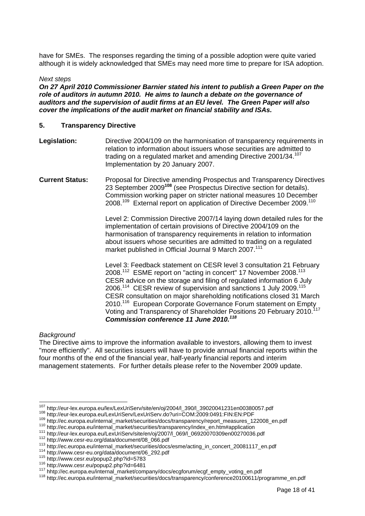<span id="page-17-0"></span>have for SMEs. The responses regarding the timing of a possible adoption were quite varied although it is widely acknowledged that SMEs may need more time to prepare for ISA adoption.

#### *Next steps*

*On 27 April 2010 Commissioner Barnier stated his intent to publish a Green Paper on the role of auditors in autumn 2010. He aims to launch a debate on the governance of auditors and the supervision of audit firms at an EU level. The Green Paper will also cover the implications of the audit market on financial stability and ISAs.* 

#### **5. Transparency Directive**

- **Legislation:** Directive 2004/109 on the harmonisation of transparency requirements in relation to information about issuers whose securities are admitted to trading on a regulated market and amending Directive 2001/34.<sup>107</sup> Implementation by 20 January 2007.
- **Current Status:** Proposal for Directive amending Prospectus and Transparency Directives 23 September 2009**[108](#page-17-2)** (see Prospectus Directive section for details). Commission working paper on stricter national measures 10 December 2008.[109](#page-17-3) External report on application of Directive December 2009.[110](#page-17-4)

Level 2: Commission Directive 2007/14 laying down detailed rules for the implementation of certain provisions of Directive 2004/109 on the harmonisation of transparency requirements in relation to information about issuers whose securities are admitted to trading on a regulated market published in Official Journal 9 March 2007.<sup>111</sup>

Level 3: Feedback statement on CESR level 3 consultation 21 February 2008.<sup>112</sup> ESME report on "acting in concert" 17 November 2008.<sup>113</sup> CESR advice on the storage and filing of regulated information 6 July 2006.[114](#page-17-8) CESR review of supervision and sanctions 1 July 2009.[115](#page-17-9)  CESR consultation on major shareholding notifications closed 31 March 2010.<sup>116</sup> European Corporate Governance Forum statement on Empty Voting and Transparency of Shareholder Positions 20 February 2010.[117](#page-17-11)  *Commission conference 11 June 2010[.118](#page-17-12)*

#### *Background*

The Directive aims to improve the information available to investors, allowing them to invest "more efficiently". All securities issuers will have to provide annual financial reports within the four months of the end of the financial year, half-yearly financial reports and interim management statements. For further details please refer to the November 2009 update.

<span id="page-17-3"></span>

<span id="page-17-8"></span>

<span id="page-17-1"></span><sup>&</sup>lt;sup>107</sup> http://eur-lex.europa.eu/lex/LexUriServ/site/en/oj/2004/l\_390/l\_39020041231en00380057.pdf

<span id="page-17-2"></span>

<span id="page-17-4"></span>

<span id="page-17-5"></span>

<span id="page-17-6"></span>

<span id="page-17-7"></span>

<span id="page-17-9"></span>

<span id="page-17-10"></span>

<span id="page-17-12"></span><span id="page-17-11"></span>

<sup>&</sup>lt;sup>108</sup> http://eur-lex.europa.eu/LexUriServ/LexUriServ.do?uri=COM:2009:0491:FIN:EN:PDF<br><sup>109</sup> http://ec.europa.eu/internal\_market/securities/docs/transparency/report\_measures\_122008\_en.pdf<br><sup>110</sup> http://ec.europa.eu/internal\_m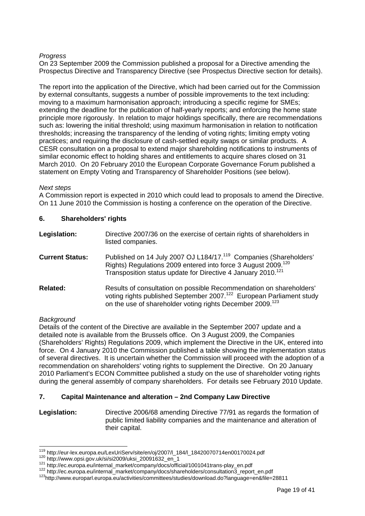#### <span id="page-18-0"></span>*Progress*

On 23 September 2009 the Commission published a proposal for a Directive amending the Prospectus Directive and Transparency Directive (see Prospectus Directive section for details).

The report into the application of the Directive, which had been carried out for the Commission by external consultants, suggests a number of possible improvements to the text including: moving to a maximum harmonisation approach; introducing a specific regime for SMEs; extending the deadline for the publication of half-yearly reports; and enforcing the home state principle more rigorously. In relation to major holdings specifically, there are recommendations such as: lowering the initial threshold; using maximum harmonisation in relation to notification thresholds; increasing the transparency of the lending of voting rights; limiting empty voting practices; and requiring the disclosure of cash-settled equity swaps or similar products. A CESR consultation on a proposal to extend major shareholding notifications to instruments of similar economic effect to holding shares and entitlements to acquire shares closed on 31 March 2010. On 20 February 2010 the European Corporate Governance Forum published a statement on Empty Voting and Transparency of Shareholder Positions (see below).

#### *Next steps*

A Commission report is expected in 2010 which could lead to proposals to amend the Directive. On 11 June 2010 the Commission is hosting a conference on the operation of the Directive.

| 6. | <b>Shareholders' rights</b> |
|----|-----------------------------|
|----|-----------------------------|

| Legislation:           | Directive 2007/36 on the exercise of certain rights of shareholders in<br>listed companies.                                                                                                                                            |
|------------------------|----------------------------------------------------------------------------------------------------------------------------------------------------------------------------------------------------------------------------------------|
| <b>Current Status:</b> | Published on 14 July 2007 OJ L184/17. <sup>119</sup> Companies (Shareholders'<br>Rights) Regulations 2009 entered into force 3 August 2009. <sup>120</sup><br>Transposition status update for Directive 4 January 2010. <sup>121</sup> |
| <b>Related:</b>        | Results of consultation on possible Recommendation on shareholders'<br>voting rights published September 2007. <sup>122</sup> European Parliament study<br>on the use of shareholder voting rights December 2009. <sup>123</sup>       |

#### *Background*

Details of the content of the Directive are available in the September 2007 update and a detailed note is available from the Brussels office. On 3 August 2009, the Companies (Shareholders' Rights) Regulations 2009, which implement the Directive in the UK, entered into force. On 4 January 2010 the Commission published a table showing the implementation status of several directives. It is uncertain whether the Commission will proceed with the adoption of a recommendation on shareholders' voting rights to supplement the Directive. On 20 January 2010 Parliament's ECON Committee published a study on the use of shareholder voting rights during the general assembly of company shareholders. For details see February 2010 Update.

#### **7. Capital Maintenance and alteration – 2nd Company Law Directive**

**Legislation:** Directive 2006/68 amending Directive 77/91 as regards the formation of public limited liability companies and the maintenance and alteration of their capital.

<span id="page-18-1"></span><sup>&</sup>lt;sup>119</sup> http://eur-lex.europa.eu/LexUriServ/site/en/oj/2007/l\_184/l\_18420070714en00170024.pdf

<span id="page-18-2"></span>

<span id="page-18-3"></span>

<span id="page-18-5"></span><span id="page-18-4"></span>

<sup>123</sup> http://www.opsi.gov.uk/si/si2009/uksi\_20091632\_en\_1<br>
121 http://ec.europa.eu/internal\_market/company/docs/official/1001041trans-play\_en.pdf<br>
122 http://ec.europa.eu/internal\_market/company/docs/shareholders/consultatio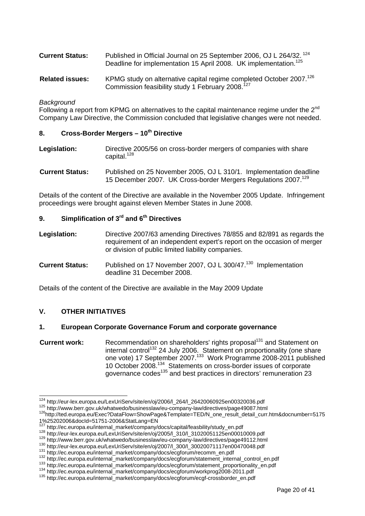<span id="page-19-0"></span>

| <b>Current Status:</b> | Published in Official Journal on 25 September 2006, OJ L 264/32. <sup>124</sup> |
|------------------------|---------------------------------------------------------------------------------|
|                        | Deadline for implementation 15 April 2008. UK implementation. <sup>125</sup>    |

**Related issues:** KPMG study on alternative capital regime completed October 2007.<sup>126</sup> Commission feasibility study 1 February 2008.<sup>127</sup>

#### *Background*

Following a report from KPMG on alternatives to the capital maintenance regime under the  $2<sup>nd</sup>$ Company Law Directive, the Commission concluded that legislative changes were not needed.

#### **8. Cross-Border Mergers – 10th Directive**

- **Legislation:** Directive 2005/56 on cross-border mergers of companies with share capital.<sup>128</sup>
- **Current Status:** Published on 25 November 2005, OJ L 310/1. Implementation deadline 15 December 2007. UK Cross-border Mergers Regulations 2007[.129](#page-19-6)

Details of the content of the Directive are available in the November 2005 Update. Infringement proceedings were brought against eleven Member States in June 2008.

### **9.** Simplification of 3<sup>rd</sup> and 6<sup>th</sup> Directives

- **Legislation:** Directive 2007/63 amending Directives 78/855 and 82/891 as regards the requirement of an independent expert's report on the occasion of merger or division of public limited liability companies.
- **Current Status:** Published on 17 November 2007, OJ L 300/47.<sup>130</sup> Implementation deadline 31 December 2008.

Details of the content of the Directive are available in the May 2009 Update

#### **V. OTHER INITIATIVES**

#### **1. European Corporate Governance Forum and corporate governance**

**Current work:** Recommendation on shareholders' rights proposal<sup>131</sup> and Statement on internal control<sup>132</sup> 24 July 2006. Statement on proportionality (one share one vote) 17 September 2007.<sup>133</sup> Work Programme 2008-2011 published 10 October 2008.[134](#page-19-11) Statements on cross-border issues of corporate governance codes<sup>135</sup> and best practices in directors' remuneration 23

125 http://www.berr.gov.uk/whatwedo/businesslaw/eu-company-law/directives/page49087.html<br><sup>126</sup>http://www.berr.gov.uk/whatwedo/businesslaw/eu-company-law/directives/page49087.html<br><sup>126</sup>http://ted.europa.eu/Exec?DataFlow=Sho 1%25202006&docId=51751-2006&StatLang=EN<br><sup>127</sup> http://ec.europa.eu/internal\_market/company/docs/capital/feasbility/study\_en.pdf

<span id="page-19-1"></span><sup>124</sup> http://eur-lex.europa.eu/LexUriServ/site/en/oj/2006/l\_264/l\_26420060925en00320036.pdf

<span id="page-19-3"></span><span id="page-19-2"></span>

<span id="page-19-4"></span>

<span id="page-19-5"></span>

<span id="page-19-6"></span>

<span id="page-19-7"></span>

<span id="page-19-9"></span><span id="page-19-8"></span>

<sup>&</sup>lt;sup>128</sup> [http://eur-lex.europa.eu/LexUriServ/site/en/oj/2005/l\\_310/l\\_31020051125en00010009.pdf](http://eur-lex.europa.eu/LexUriServ/site/en/oj/2005/l_310/l_31020051125en00010009.pdf)<br><sup>129</sup> http://www.berr.gov.uk/whatwedo/businesslaw/eu-company-law/directives/page49112.html<br><sup>130</sup> http://eur-lex.europa.eu/LexUriSe

<span id="page-19-11"></span><span id="page-19-10"></span>

<span id="page-19-12"></span>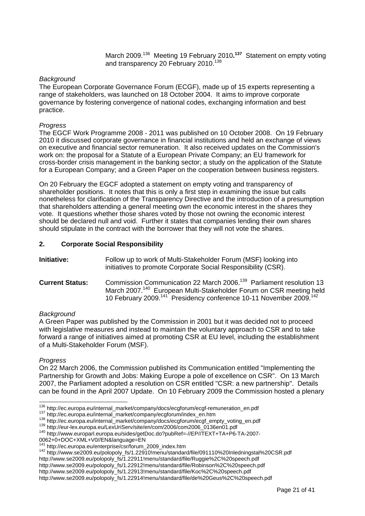March 2009.[136](#page-20-1) Meeting 19 February 2010**. [137](#page-20-2)**Statement on empty voting and transparency 20 February 2010.<sup>138</sup>

#### <span id="page-20-0"></span>*Background*

The European Corporate Governance Forum (ECGF), made up of 15 experts representing a range of stakeholders, was launched on 18 October 2004. It aims to improve corporate governance by fostering convergence of national codes, exchanging information and best practice.

#### *Progress*

The EGCF Work Programme 2008 - 2011 was published on 10 October 2008. On 19 February 2010 it discussed corporate governance in financial institutions and held an exchange of views on executive and financial sector remuneration. It also received updates on the Commission's work on: the proposal for a Statute of a European Private Company; an EU framework for cross-border crisis management in the banking sector; a study on the application of the Statute for a European Company; and a Green Paper on the cooperation between business registers.

On 20 February the EGCF adopted a statement on empty voting and transparency of shareholder positions. It notes that this is only a first step in examining the issue but calls nonetheless for clarification of the Transparency Directive and the introduction of a presumption that shareholders attending a general meeting own the economic interest in the shares they vote. It questions whether those shares voted by those not owning the economic interest should be declared null and void. Further it states that companies lending their own shares should stipulate in the contract with the borrower that they will not vote the shares.

#### **2. Corporate Social Responsibility**

| <b>Initiative:</b> | Follow up to work of Multi-Stakeholder Forum (MSF) looking into |
|--------------------|-----------------------------------------------------------------|
|                    | initiatives to promote Corporate Social Responsibility (CSR).   |

**Current Status:** Commission Communication 22 March 2006.<sup>139</sup> Parliament resolution 13 March 2007.<sup>140</sup> European Multi-Stakeholder Forum on CSR meeting held 10 February 2009.[141](#page-20-6) Presidency conference 10-11 November 2009.[142](#page-20-7) 

#### *Background*

A Green Paper was published by the Commission in 2001 but it was decided not to proceed with legislative measures and instead to maintain the voluntary approach to CSR and to take forward a range of initiatives aimed at promoting CSR at EU level, including the establishment of a Multi-Stakeholder Forum (MSF).

#### *Progress*

On 22 March 2006, the Commission published its Communication entitled "Implementing the Partnership for Growth and Jobs: Making Europe a pole of excellence on CSR". On 13 March 2007, the Parliament adopted a resolution on CSR entitled "CSR: a new partnership". Details can be found in the April 2007 Update. On 10 February 2009 the Commission hosted a plenary

<span id="page-20-1"></span><sup>&</sup>lt;sup>136</sup> http://ec.europa.eu/internal\_market/company/docs/ecgforum/ecgf-remuneration\_en.pdf

<span id="page-20-2"></span>

<span id="page-20-3"></span>

<span id="page-20-5"></span><span id="page-20-4"></span>

<sup>&</sup>lt;sup>137</sup>http://ec.europa.eu/internal\_market/company/ecgforum/index\_en.htm<br>
<sup>138</sup>http://ec.europa.eu/internal\_market/company/docs/ecgforum/ecgf\_empty\_voting\_en.pdf<br>
<sup>139</sup>http://eur-lex.europa.eu/LexUriServ/site/en/com/2006/com 0062+0+DOC+XML+V0//EN&language=EN<br><sup>141</sup> http://ec.europa.eu/enterprise/csr/forum\_2009\_index.htm

<span id="page-20-6"></span>

<span id="page-20-7"></span><sup>141</sup> http://ec.europa.eu/enterprise/csr/forum\_2009\_index.htm 142 http://www.se2009.eu/polopoly\_fs/1.22910!menu/standard/file/091110%20Inledningstal%20CSR.pdf

http://www.se2009.eu/polopoly\_fs/1.22911!menu/standard/file/Ruggie%2C%20speech.pdf

http://www.se2009.eu/polopoly\_fs/1.22912!menu/standard/file/Robinson%2C%20speech.pdf

http://www.se2009.eu/polopoly\_fs/1.22913!menu/standard/file/Koc%2C%20speech.pdf

http://www.se2009.eu/polopoly\_fs/1.22914!menu/standard/file/de%20Geus%2C%20speech.pdf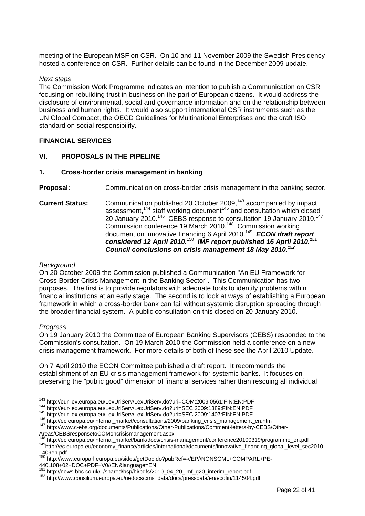<span id="page-21-0"></span>meeting of the European MSF on CSR. On 10 and 11 November 2009 the Swedish Presidency hosted a conference on CSR. Further details can be found in the December 2009 update.

#### *Next steps*

The Commission Work Programme indicates an intention to publish a Communication on CSR focusing on rebuilding trust in business on the part of European citizens. It would address the disclosure of environmental, social and governance information and on the relationship between business and human rights. It would also support international CSR instruments such as the UN Global Compact, the OECD Guidelines for Multinational Enterprises and the draft ISO standard on social responsibility.

#### **FINANCIAL SERVICES**

#### **VI. PROPOSALS IN THE PIPELINE**

#### **1. Cross-border crisis management in banking**

**Proposal:** Communication on cross-border crisis management in the banking sector.

**Current Status:** Communication published 20 October 2009,<sup>143</sup> accompanied by impact assessment,<sup>144</sup> staff working document<sup>145</sup> and consultation which closed 20 January 2010.<sup>146</sup> CEBS response to consultation 19 January 2010.<sup>147</sup> Commission conference 19 March 2010.[148](#page-21-6) Commission working document on innovative financing 6 April 2010.[149](#page-21-7) *ECON draft report considered 12 April 2010.*[150](#page-21-8) *IMF report published 16 April 2010.[151](#page-21-9)* *Council conclusions on crisis management 18 May 2010.[152](#page-21-10)*

#### *Background*

On 20 October 2009 the Commission published a Communication "An EU Framework for Cross-Border Crisis Management in the Banking Sector". This Communication has two purposes. The first is to provide regulators with adequate tools to identify problems within financial institutions at an early stage. The second is to look at ways of establishing a European framework in which a cross-border bank can fail without systemic disruption spreading through the broader financial system. A public consultation on this closed on 20 January 2010.

#### *Progress*

On 19 January 2010 the Committee of European Banking Supervisors (CEBS) responded to the Commission's consultation. On 19 March 2010 the Commission held a conference on a new crisis management framework. For more details of both of these see the April 2010 Update.

On 7 April 2010 the ECON Committee published a draft report. It recommends the establishment of an EU crisis management framework for systemic banks. It focuses on preserving the "public good" dimension of financial services rather than rescuing all individual

<sup>144</sup> http://eur-lex.europa.eu/LexUriServ/LexUriServ.do?uri=SEC:2009:1389:FIN:EN:PDF<br><sup>145</sup> http://eur-lex.europa.eu/LexUriServ/LexUriServ.do?uri=SEC:2009:1407:FIN:EN:PDF<br><sup>146</sup> http://ec.europa.eu/internal\_market/consultati

<span id="page-21-6"></span>

<span id="page-21-1"></span><sup>&</sup>lt;sup>143</sup> http://eur-lex.europa.eu/LexUriServ/LexUriServ.do?uri=COM:2009:0561:FIN:EN:PDF

<span id="page-21-2"></span>

<span id="page-21-3"></span>

<span id="page-21-5"></span><span id="page-21-4"></span>

Areas/CEBSresponsetoCOMoncrisismanagement.aspx<br>
<sup>148</sup> http://ec.europa.eu/internal\_market/bank/docs/crisis-management/conference20100319/programme\_en.pdf 149 http://ec.europa.eu/economy\_finance/articles/international/documents/innovative\_financing\_global\_level\_sec2010 \_409en.pdf

<span id="page-21-8"></span><span id="page-21-7"></span><sup>150</sup> http://www.europarl.europa.eu/sides/getDoc.do?pubRef=-//EP//NONSGML+COMPARL+PE-440.108+02+DOC+PDF+V0//EN&language=EN

<span id="page-21-9"></span><sup>&</sup>lt;sup>151</sup> [http://news.bbc.co.uk/1/shared/bsp/hi/pdfs/2010\\_04\\_20\\_imf\\_g20\\_interim\\_report.pdf](http://news.bbc.co.uk/1/shared/bsp/hi/pdfs/2010_04_20_imf_g20_interim_report.pdf)<br><sup>152</sup> http://www.consilium.europa.eu/uedocs/cms\_data/docs/pressdata/en/ecofin/114504.pdf

<span id="page-21-10"></span>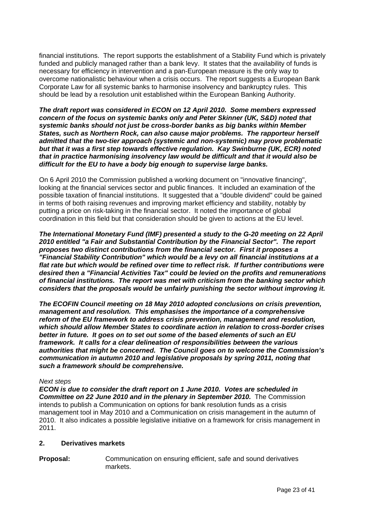<span id="page-22-0"></span>financial institutions. The report supports the establishment of a Stability Fund which is privately funded and publicly managed rather than a bank levy. It states that the availability of funds is necessary for efficiency in intervention and a pan-European measure is the only way to overcome nationalistic behaviour when a crisis occurs. The report suggests a European Bank Corporate Law for all systemic banks to harmonise insolvency and bankruptcy rules. This should be lead by a resolution unit established within the European Banking Authority.

*The draft report was considered in ECON on 12 April 2010. Some members expressed concern of the focus on systemic banks only and Peter Skinner (UK, S&D) noted that systemic banks should not just be cross-border banks as big banks within Member States, such as Northern Rock, can also cause major problems. The rapporteur herself admitted that the two-tier approach (systemic and non-systemic) may prove problematic but that it was a first step towards effective regulation. Kay Swinburne (UK, ECR) noted that in practice harmonising insolvency law would be difficult and that it would also be difficult for the EU to have a body big enough to supervise large banks.* 

On 6 April 2010 the Commission published a working document on "innovative financing", looking at the financial services sector and public finances. It included an examination of the possible taxation of financial institutions. It suggested that a "double dividend" could be gained in terms of both raising revenues and improving market efficiency and stability, notably by putting a price on risk-taking in the financial sector. It noted the importance of global coordination in this field but that consideration should be given to actions at the EU level.

*The International Monetary Fund (IMF) presented a study to the G-20 meeting on 22 April 2010 entitled "a Fair and Substantial Contribution by the Financial Sector". The report proposes two distinct contributions from the financial sector. First it proposes a "Financial Stability Contribution" which would be a levy on all financial institutions at a flat rate but which would be refined over time to reflect risk. If further contributions were desired then a "Financial Activities Tax" could be levied on the profits and remunerations of financial institutions. The report was met with criticism from the banking sector which considers that the proposals would be unfairly punishing the sector without improving it.* 

*The ECOFIN Council meeting on 18 May 2010 adopted conclusions on crisis prevention, management and resolution. This emphasises the importance of a comprehensive reform of the EU framework to address crisis prevention, management and resolution, which should allow Member States to coordinate action in relation to cross-border crises better in future. It goes on to set out some of the based elements of such an EU framework. It calls for a clear delineation of responsibilities between the various authorities that might be concerned. The Council goes on to welcome the Commission's communication in autumn 2010 and legislative proposals by spring 2011, noting that such a framework should be comprehensive.* 

#### *Next steps*

*ECON is due to consider the draft report on 1 June 2010. Votes are scheduled in*  **Committee on 22 June 2010 and in the plenary in September 2010.** The Commission intends to publish a Communication on options for bank resolution funds as a crisis management tool in May 2010 and a Communication on crisis management in the autumn of 2010. It also indicates a possible legislative initiative on a framework for crisis management in 2011.

#### **2. Derivatives markets**

**Proposal:** Communication on ensuring efficient, safe and sound derivatives markets.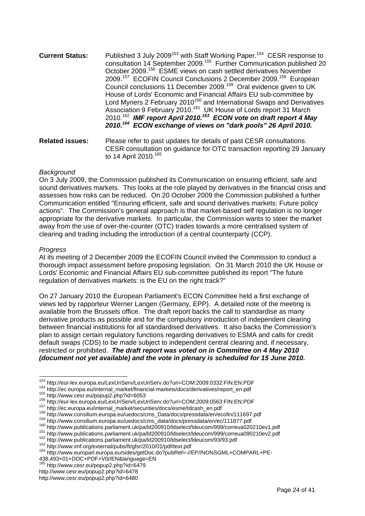- **Current Status:** Published 3 July 2009<sup>153</sup> with Staff Working Paper.<sup>154</sup> CESR response to consultation 14 September 2009.[155](#page-23-2) Further Communication published 20 October 2009.[156](#page-23-3) ESME views on cash settled derivatives November 2009.[157](#page-23-4) ECOFIN Council Conclusions 2 December 2009.[158](#page-23-5) European Council conclusions 11 December 2009.[159](#page-23-6) Oral evidence given to UK House of Lords' Economic and Financial Affairs EU sub-committee by Lord Myners 2 February 2010<sup>160</sup> and International Swaps and Derivatives Association 9 February 2010.<sup>161</sup> UK House of Lords report 31 March 2010.[162](#page-23-9) *IMF report April 2010.[163](#page-23-10) ECON vote on draft report 4 May 2010.[164](#page-23-11) ECON exchange of views on "dark pools" 26 April 2010.*
- **Related issues:** Please refer to past updates for details of past CESR consultations. CESR consultation on guidance for OTC transaction reporting 29 January to 14 April 2010.<sup>165</sup>

#### *Background*

On 3 July 2009, the Commission published its Communication on ensuring efficient, safe and sound derivatives markets. This looks at the role played by derivatives in the financial crisis and assesses how risks can be reduced. On 20 October 2009 the Commission published a further Communication entitled "Ensuring efficient, safe and sound derivatives markets: Future policy actions". The Commission's general approach is that market-based self regulation is no longer appropriate for the derivative markets. In particular, the Commission wants to steer the market away from the use of over-the-counter (OTC) trades towards a more centralised system of clearing and trading including the introduction of a central counterparty (CCP).

#### *Progress*

At its meeting of 2 December 2009 the ECOFIN Council invited the Commission to conduct a thorough impact assessment before proposing legislation. On 31 March 2010 the UK House or Lords' Economic and Financial Affairs EU sub-committee published its report "The future regulation of derivatives markets: is the EU on the right track?"

On 27 January 2010 the European Parliament's ECON Committee held a first exchange of views led by rapporteur Werner Langen (Germany, EPP). A detailed note of the meeting is available from the Brussels office. The draft report backs the call to standardise as many derivative products as possible and for the compulsory introduction of independent clearing between financial institutions for all standardised derivatives. It also backs the Commission's plan to assign certain regulatory functions regarding derivatives to ESMA and calls for credit default swaps (CDS) to be made subject to independent central clearing and, if necessary, restricted or prohibited. *The draft report was voted on in Committee on 4 May 2010 (document not yet available) and the vote in plenary is scheduled for 15 June 2010.* 

<span id="page-23-0"></span><sup>&</sup>lt;sup>153</sup> http://eur-lex.europa.eu/LexUriServ/LexUriServ.do?uri=COM:2009:0332:FIN:EN:PDF

<span id="page-23-1"></span>

<span id="page-23-2"></span>

<span id="page-23-3"></span>

<span id="page-23-4"></span>

<span id="page-23-5"></span>

<span id="page-23-7"></span><span id="page-23-6"></span>

<sup>&</sup>lt;sup>154</sup> http://ec.europa.eu/internal\_market/financial-markets/docs/derivatives/report\_en.pdf<br>
<sup>155</sup> http://ec.europa.eu/internal\_market/financial-markets/docs/derivatives/report\_en.pdf<br>
<sup>155</sup> http://eur-lex.europa.eu/LexUri

<span id="page-23-8"></span>

<span id="page-23-9"></span>

<span id="page-23-10"></span>

<span id="page-23-11"></span>

<sup>438.493+01+</sup>DOC+PDF+V0//EN&language=EN<br><sup>165</sup> http://www.cesr.eu/popup?.php?id=6470

<span id="page-23-12"></span>http://www.cesr.eu/popup2.php?id=6479

http://www.cesr.eu/popup2.php?id=6478

http://www.cesr.eu/popup2.php?id=6480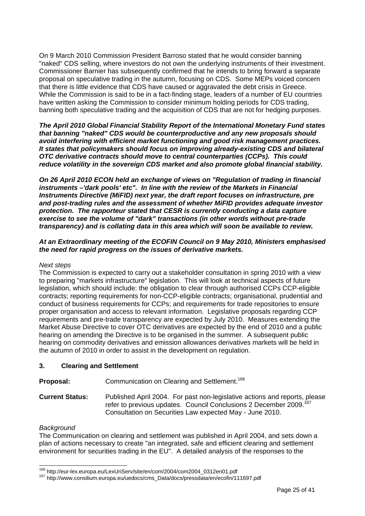<span id="page-24-0"></span>On 9 March 2010 Commission President Barroso stated that he would consider banning "naked" CDS selling, where investors do not own the underlying instruments of their investment. Commissioner Barnier has subsequently confirmed that he intends to bring forward a separate proposal on speculative trading in the autumn, focusing on CDS. Some MEPs voiced concern that there is little evidence that CDS have caused or aggravated the debt crisis in Greece. While the Commission is said to be in a fact-finding stage, leaders of a number of EU countries have written asking the Commission to consider minimum holding periods for CDS trading, banning both speculative trading and the acquisition of CDS that are not for hedging purposes.

*The April 2010 Global Financial Stability Report of the International Monetary Fund states that banning "naked" CDS would be counterproductive and any new proposals should avoid interfering with efficient market functioning and good risk management practices. It states that policymakers should focus on improving already-existing CDS and bilateral OTC derivative contracts should move to central counterparties (CCPs). This could reduce volatility in the sovereign CDS market and also promote global financial stability.* 

*On 26 April 2010 ECON held an exchange of views on "Regulation of trading in financial instruments –'dark pools' etc". In line with the review of the Markets in Financial Instruments Directive (MiFID) next year, the draft report focuses on infrastructure, pre and post-trading rules and the assessment of whether MiFID provides adequate investor protection. The rapporteur stated that CESR is currently conducting a data capture exercise to see the volume of "dark" transactions (in other words without pre-trade transparency) and is collating data in this area which will soon be available to review.* 

#### *At an Extraordinary meeting of the ECOFIN Council on 9 May 2010, Ministers emphasised the need for rapid progress on the issues of derivative markets.*

#### *Next steps*

The Commission is expected to carry out a stakeholder consultation in spring 2010 with a view to preparing "markets infrastructure" legislation. This will look at technical aspects of future legislation, which should include: the obligation to clear through authorised CCPs CCP-eligible contracts; reporting requirements for non-CCP-eligible contracts; organisational, prudential and conduct of business requirements for CCPs; and requirements for trade repositories to ensure proper organisation and access to relevant information. Legislative proposals regarding CCP requirements and pre-trade transparency are expected by July 2010. Measures extending the Market Abuse Directive to cover OTC derivatives are expected by the end of 2010 and a public hearing on amending the Directive is to be organised in the summer. A subsequent public hearing on commodity derivatives and emission allowances derivatives markets will be held in the autumn of 2010 in order to assist in the development on regulation.

#### **3. Clearing and Settlement**

**Proposal:** Communication on Clearing and Settlement.<sup>[166](#page-24-1)</sup>

**Current Status:** Published April 2004. For past non-legislative actions and reports, please refer to previous updates. Council Conclusions 2 December 2009.<sup>167</sup> Consultation on Securities Law expected May - June 2010.

#### *Background*

The Communication on clearing and settlement was published in April 2004, and sets down a plan of actions necessary to create "an integrated, safe and efficient clearing and settlement environment for securities trading in the EU". A detailed analysis of the responses to the

<span id="page-24-1"></span><sup>166</sup> http://eur-lex.europa.eu/LexUriServ/site/en/com/2004/com2004\_0312en01.pdf

<span id="page-24-2"></span><sup>&</sup>lt;sup>167</sup> http://www.consilium.europa.eu/uedocs/cms\_Data/docs/pressdata/en/ecofin/111697.pdf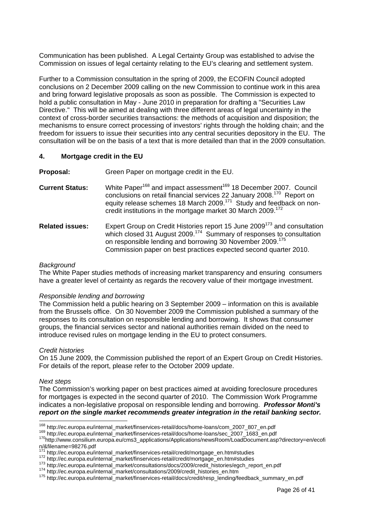<span id="page-25-0"></span>Communication has been published. A Legal Certainty Group was established to advise the Commission on issues of legal certainty relating to the EU's clearing and settlement system.

Further to a Commission consultation in the spring of 2009, the ECOFIN Council adopted conclusions on 2 December 2009 calling on the new Commission to continue work in this area and bring forward legislative proposals as soon as possible. The Commission is expected to hold a public consultation in May - June 2010 in preparation for drafting a "Securities Law Directive." This will be aimed at dealing with three different areas of legal uncertainty in the context of cross-border securities transactions: the methods of acquisition and disposition; the mechanisms to ensure correct processing of investors' rights through the holding chain; and the freedom for issuers to issue their securities into any central securities depository in the EU. The consultation will be on the basis of a text that is more detailed than that in the 2009 consultation.

#### **4. Mortgage credit in the EU**

**Proposal:** Green Paper on mortgage credit in the EU.

- **Current Status:** White Paper<sup>168</sup> and impact assessment<sup>169</sup> 18 December 2007. Council conclusions on retail financial services 22 January 2008.[170](#page-25-3) Report on equity release schemes 18 March 2009.[171](#page-25-4)Study and feedback on noncredit institutions in the mortgage market 30 March 2009.<sup>172</sup>
- **Related issues:** Expert Group on Credit Histories report 15 June 2009[173](#page-25-6) and consultation which closed 31 August 2009.<sup>[174](#page-25-7)</sup> Summary of responses to consultation on responsible lending and borrowing 30 November 2009.[175](#page-25-8) Commission paper on best practices expected second quarter 2010.

#### *Background*

The White Paper studies methods of increasing market transparency and ensuring consumers have a greater level of certainty as regards the recovery value of their mortgage investment.

#### *Responsible lending and borrowing*

The Commission held a public hearing on 3 September 2009 – information on this is available from the Brussels office. On 30 November 2009 the Commission published a summary of the responses to its consultation on responsible lending and borrowing. It shows that consumer groups, the financial services sector and national authorities remain divided on the need to introduce revised rules on mortgage lending in the EU to protect consumers.

#### *Credit histories*

On 15 June 2009, the Commission published the report of an Expert Group on Credit Histories. For details of the report, please refer to the October 2009 update.

#### *Next steps*

The Commission's working paper on best practices aimed at avoiding foreclosure procedures for mortgages is expected in the second quarter of 2010. The Commission Work Programme indicates a non-legislative proposal on responsible lending and borrowing. *Professor Monti's report on the single market recommends greater integration in the retail banking sector.* 

<span id="page-25-1"></span><sup>&</sup>lt;sup>168</sup> http://ec.europa.eu/internal\_market/finservices-retail/docs/home-loans/com\_2007\_807\_en.pdf

<span id="page-25-3"></span><span id="page-25-2"></span>

<sup>169</sup> http://ec.europa.eu/internal\_market/finservices-retail/docs/home-loans/sec\_2007\_1683\_en.pdf<br><sup>169</sup> http://ec.europa.eu/internal\_market/finservices-retail/docs/home-loans/sec\_2007\_1683\_en.pdf<br><sup>170</sup>http://www.consilium.eu n/&filename=98276.pdf<br>171 http://ec.europa.eu/internal\_market/finservices-retail/credit/mortgage\_en.htm#studies

<span id="page-25-4"></span>

<span id="page-25-5"></span>

<span id="page-25-6"></span>

<span id="page-25-8"></span><span id="page-25-7"></span>

<sup>172</sup> http://ec.europa.eu/internal\_market/finservices-retail/credit/mortgage\_en.htm#studies<br>173 [http://ec.europa.eu/internal\\_market/consultations/docs/2009/credit\\_histories/egch\\_report\\_en.pdf](http://ec.europa.eu/internal_market/consultations/docs/2009/credit_histories/egch_report_en.pdf)<br>174 http://ec.europa.eu/internal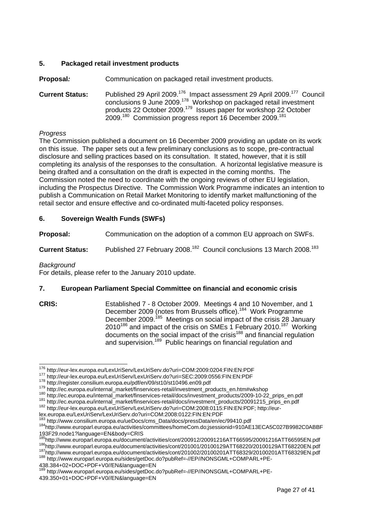#### <span id="page-26-0"></span>**5. Packaged retail investment products**

**Proposal**: **Communication on packaged retail investment products.** 

**Current Status:** Published 29 April 2009.[176](#page-26-1) Impact assessment 29 April 2009.[177](#page-26-2) Council conclusions 9 June 2009.<sup>178</sup> Workshop on packaged retail investment products 22 October 2009.<sup>179</sup> Issues paper for workshop 22 October 2009.<sup>180</sup> Commission progress report 16 December 2009.<sup>181</sup>

#### *Progress*

The Commission published a document on 16 December 2009 providing an update on its work on this issue. The paper sets out a few preliminary conclusions as to scope, pre-contractual disclosure and selling practices based on its consultation. It stated, however, that it is still completing its analysis of the responses to the consultation. A horizontal legislative measure is being drafted and a consultation on the draft is expected in the coming months. The Commission noted the need to coordinate with the ongoing reviews of other EU legislation, including the Prospectus Directive. The Commission Work Programme indicates an intention to publish a Communication on Retail Market Monitoring to identify market malfunctioning of the retail sector and ensure effective and co-ordinated multi-faceted policy responses.

#### **6. Sovereign Wealth Funds (SWFs)**

**Proposal:** Communication on the adoption of a common EU approach on SWFs.

**Current Status:** Published 27 February 2008.<sup>182</sup> Council conclusions 13 March 2008.<sup>183</sup>

#### *Background*

For details, please refer to the January 2010 update.

#### **7. European Parliament Special Committee on financial and economic crisis**

**CRIS:** Established 7 - 8 October 2009. Meetings 4 and 10 November, and 1 December 2009 (notes from Brussels office).<sup>184</sup> Work Programme December 2009.<sup>185</sup> Meetings on social impact of the crisis 28 January 2010<sup>186</sup> and impact of the crisis on SMEs 1 February 2010.<sup>187</sup> Working documents on the social impact of the crisis<sup>188</sup> and financial regulation and supervision.[189](#page-26-14) Public hearings on financial regulation and

<span id="page-26-6"></span><span id="page-26-5"></span>

<span id="page-26-1"></span><sup>&</sup>lt;sup>176</sup> http://eur-lex.europa.eu/LexUriServ/LexUriServ.do?uri=COM:2009:0204:FIN:EN:PDF

<span id="page-26-2"></span>

<span id="page-26-3"></span>

<span id="page-26-4"></span>

<span id="page-26-7"></span>

<sup>&</sup>lt;sup>177</sup>http://eur-lex.europa.eu/LexUriServ/LexUriServ.do?uri=SEC:2009:0556:FIN:EN:PDF<br><sup>178</sup>http://register.consilium.europa.eu/pdf/en/09/st10/st10496.en09.pdf<br><sup>179</sup>http://ec.europa.eu/internal\_market/finservices-retail/inves

<span id="page-26-8"></span>

<sup>184&</sup>lt;br>http://www.consilium.europa.eu/ueDocs/cms\_Data/docs/pressData/en/ec/99410.pdf<br><sup>184</sup>http://www.europarl.europa.eu/activities/committees/homeCom.do;jsessionid=910AE13ECA5C027B9982C0ABBF

<span id="page-26-11"></span><span id="page-26-10"></span><span id="page-26-9"></span><sup>193</sup>F29.node1?language=EN&body=CRIS 187<br>[http://www.europarl.europa.eu/document/activities/cont/201001/20100129ATT68220/20100129ATT68220EN.pdf](http://www.europarl.europa.eu/document/activities/cont/201002/20100201ATT68329/20100201ATT68329EN.pdf)<br><sup>187</sup><http://www.europarl.europa.eu/document/activities/cont/201002/20100201ATT68329/20100201ATT68329EN.pdf><br><sup>188</sup>http

<span id="page-26-13"></span><span id="page-26-12"></span><sup>438.384+02+</sup>DOC+PDF+V0//EN&language=EN

<span id="page-26-14"></span><sup>189</sup> http://www.europarl.europa.eu/sides/getDoc.do?pubRef=-//EP//NONSGML+COMPARL+PE-439.350+01+DOC+PDF+V0//EN&language=EN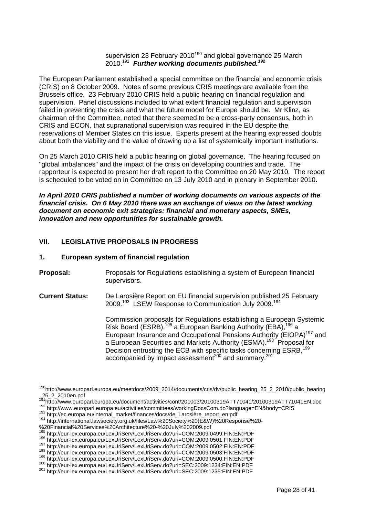#### supervision 23 February 2010<sup>190</sup> and global governance 25 March 2010.[191](#page-27-2) *Further working documents published.[192](#page-27-3)*

<span id="page-27-0"></span>The European Parliament established a special committee on the financial and economic crisis (CRIS) on 8 October 2009. Notes of some previous CRIS meetings are available from the Brussels office. 23 February 2010 CRIS held a public hearing on financial regulation and supervision. Panel discussions included to what extent financial regulation and supervision failed in preventing the crisis and what the future model for Europe should be. Mr Klinz, as chairman of the Committee, noted that there seemed to be a cross-party consensus, both in CRIS and ECON, that supranational supervision was required in the EU despite the reservations of Member States on this issue. Experts present at the hearing expressed doubts about both the viability and the value of drawing up a list of systemically important institutions.

On 25 March 2010 CRIS held a public hearing on global governance. The hearing focused on "global imbalances" and the impact of the crisis on developing countries and trade. The rapporteur is expected to present her draft report to the Committee on 20 May 2010. The report is scheduled to be voted on in Committee on 13 July 2010 and in plenary in September 2010.

*In April 2010 CRIS published a number of working documents on various aspects of the financial crisis. On 6 May 2010 there was an exchange of views on the latest working document on economic exit strategies: financial and monetary aspects, SMEs, innovation and new opportunities for sustainable growth.* 

#### **VII. LEGISLATIVE PROPOSALS IN PROGRESS**

#### **1. European system of financial regulation**

- **Proposal:** Proposals for Regulations establishing a system of European financial supervisors.
- **Current Status:** De Larosière Report on EU financial supervision published 25 February 2009.<sup>193</sup> LSEW Response to Communication July 2009.<sup>194</sup>

Commission proposals for Regulations establishing a European Systemic Risk Board (ESRB),<sup>195</sup> a European Banking Authority (EBA),<sup>196</sup> a European Insurance and Occupational Pensions Authority (EIOPA)<sup>197</sup> and a European Securities and Markets Authority (ESMA).<sup>198</sup> Proposal for Decision entrusting the ECB with specific tasks concerning ESRB,<sup>199</sup>  $\frac{201}{201}$  accompanied by impact assessment<sup>200</sup> and summary.<sup>201</sup>

<span id="page-27-1"></span><sup>&</sup>lt;sup>190</sup>http://www.europarl.europa.eu/meetdocs/2009\_2014/documents/cris/dv/public\_hearing\_25\_2\_2010/public\_hearing  $25.2$ \_2010en.pdf<br> $^{191}$ http://www.europarl.europa.eu/document/activities/cont/201003/20100319ATT71041/20100319ATT71041EN.doc

<span id="page-27-2"></span>

<span id="page-27-3"></span><sup>&</sup>lt;sup>192</sup> http://www.europarl.europa.eu/activities/committees/workingDocsCom.do?language=EN&body=CRIS<br><sup>193</sup> http://ec.europa.eu/internal\_market/finances/docs/de\_Larosière\_report\_en.pdf<br><sup>194</sup> http://international.lawsociety.org

<span id="page-27-4"></span>

<span id="page-27-5"></span>

<span id="page-27-6"></span>

<span id="page-27-7"></span>

<sup>&</sup>lt;sup>195</sup> http://eur-lex.europa.eu/LexUriServ/LexUriServ.do?uri=COM:2009:0499:FIN:EN:PDF<br><sup>196</sup> http://eur-lex.europa.eu/LexUriServ/LexUriServ.do?uri=COM:2009:0501:FIN:EN:PDF<br><sup>197</sup> http://eur-lex.europa.eu/LexUriServ/LexUriSer

<span id="page-27-8"></span>

<span id="page-27-9"></span>

<span id="page-27-10"></span>

<span id="page-27-12"></span><span id="page-27-11"></span>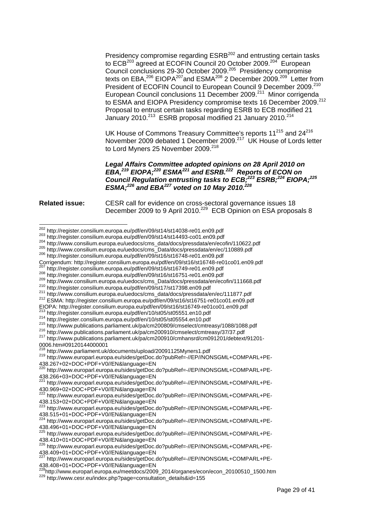Presidency compromise regarding ESRB<sup>202</sup> and entrusting certain tasks to ECB<sup>203</sup> agreed at ECOFIN Council 20 October 2009.<sup>204</sup> European Council conclusions 29-30 October 2009.[205](#page-28-3) Presidency compromise texts on EBA[,206](#page-28-4) EIOPA[207a](#page-28-5)nd ESMA[208 2](#page-28-6) December 2009.[209](#page-28-7) Letter from President of ECOFIN Council to European Council 9 December 2009.<sup>210</sup> European Council conclusions 11 December 2009.<sup>211</sup> Minor corrigenda to ESMA and EIOPA Presidency compromise texts 16 December 2009.<sup>212</sup> Proposal to entrust certain tasks regarding ESRB to ECB modified 21 January 2010.<sup>213</sup> ESRB proposal modified 21 January 2010.<sup>214</sup>

UK House of Commons Treasury Committee's reports 11<sup>215</sup> and 24<sup>[216](#page-28-14)</sup> November 2009 debated 1 December 2009.<sup>217</sup> UK House of Lords letter to Lord Myners 25 November 2009.<sup>218</sup>

*Legal Affairs Committee adopted opinions on 28 April 2010 on EBA,[219 E](#page-28-17)IOPA;[220 E](#page-28-18)SMA[221](#page-28-19) and ESRB.[222](#page-28-20) Reports of ECON on Council Regulation entrusting tasks to ECB;[223](#page-28-21) ESRB;[224](#page-28-22) EIOPA;[225](#page-28-23) ESMA;[226](#page-28-24) and EBA[227 v](#page-28-25)oted on 10 May 2010.[228](#page-28-26)*

**Related issue:** CESR call for evidence on cross-sectoral governance issues 18 December 2009 to 9 April 2010.<sup>229</sup> ECB Opinion on ESA proposals 8

<span id="page-28-3"></span>

<span id="page-28-10"></span>

<span id="page-28-14"></span>

<span id="page-28-11"></span><sup>213</sup> http://register.consilium.europa.eu/pdf/en/10/st05/st05551.en10.pdf<br>
<sup>214</sup> http://register.consilium.europa.eu/pdf/en/10/st05/st05554.en10.pdf<br>
<sup>215</sup> http://www.publications.parliament.uk/pa/cm200809/cmselect/cmtrea

<span id="page-28-15"></span>0006.htm#09120144000001<br>
<sup>218</sup> http://www.parliament.uk/documents/upload/20091125Myners1.pdf

<span id="page-28-17"></span><span id="page-28-16"></span>219 http://www.europarl.europa.eu/sides/getDoc.do?pubRef=-//EP//NONSGML+COMPARL+PE-438.267+02+DOC+PDF+V0//EN&language=EN

<span id="page-28-20"></span>222 http://www.europarl.europa.eu/sides/getDoc.do?pubRef=-//EP//NONSGML+COMPARL+PE-438.153+02+DOC+PDF+V0//EN&language=EN

<span id="page-28-21"></span>223 http://www.europarl.europa.eu/sides/getDoc.do?pubRef=-//EP//NONSGML+COMPARL+PE-438.515+01+DOC+PDF+V0//EN&language=EN

<span id="page-28-22"></span>224 http://www.europarl.europa.eu/sides/getDoc.do?pubRef=-//EP//NONSGML+COMPARL+PE-438.496+01+DOC+PDF+V0//EN&language=EN

<span id="page-28-23"></span>225 http://www.europarl.europa.eu/sides/getDoc.do?pubRef=-//EP//NONSGML+COMPARL+PE-438.410+01+DOC+PDF+V0//EN&language=EN

<span id="page-28-24"></span>226 http://www.europarl.europa.eu/sides/getDoc.do?pubRef=-//EP//NONSGML+COMPARL+PE-438.409+01+DOC+PDF+V0//EN&language=EN

<span id="page-28-0"></span><sup>202</sup> http://reaister.consilium.europa.eu/pdf/en/09/st14/st14038-re01.en09.pdf

<span id="page-28-1"></span>

<span id="page-28-2"></span>

<span id="page-28-4"></span>

<sup>&</sup>lt;sup>203</sup> http://register.consilium.europa.eu/pdf/en/09/st14/st14493-co01.en09.pdf<br><sup>204</sup> http://www.consilium.europa.eu/uedocs/cms\_data/docs/pressdata/en/ecofin/110622.pdf<br><sup>205</sup> http://www.consilium.europa.eu/uedocs/cms\_Data/

<span id="page-28-7"></span><span id="page-28-6"></span>

<span id="page-28-5"></span> $^{207}$  http://register.consilium.europa.eu/pdf/en/09/st16/st16749-re01.en09.pdf<br>  $^{208}$  http://register.consilium.europa.eu/pdf/en/09/st16/st16751-re01.en09.pdf<br>  $^{209}$  http://register.consilium.europa.eu/uedocs/cms\_Da

<span id="page-28-8"></span>

<span id="page-28-9"></span>

<span id="page-28-12"></span>

<span id="page-28-13"></span>

<span id="page-28-18"></span><sup>220</sup> http://www.europarl.europa.eu/sides/getDoc.do?pubRef=-//EP//NONSGML+COMPARL+PE-438.266+03+DOC+PDF+V0//EN&language=EN

<span id="page-28-19"></span><sup>221</sup> http://www.europarl.europa.eu/sides/getDoc.do?pubRef=-//EP//NONSGML+COMPARL+PE-430.969+02+DOC+PDF+V0//EN&language=EN

<span id="page-28-25"></span><sup>227</sup> http://www.europarl.europa.eu/sides/getDoc.do?pubRef=-//EP//NONSGML+COMPARL+PE-438.408+01+DOC+PDF+V0//EN&language=EN

<span id="page-28-27"></span><span id="page-28-26"></span><sup>&</sup>lt;sup>228</sup>http://www.europarl.europa.eu/meetdocs/2009\_2014/organes/econ/econ\_20100510\_1500.htm<br><sup>229</sup> http://www.cesr.eu/index.php?page=consultation\_details&id=155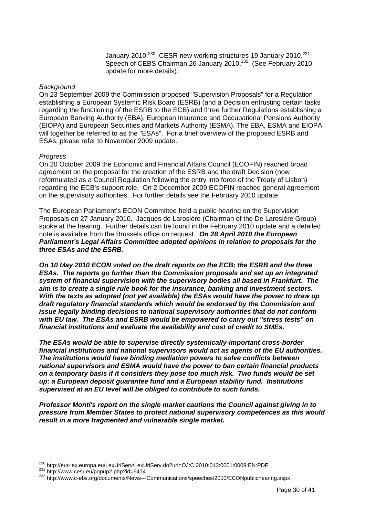January 2010.<sup>230</sup> CESR new working structures 19 January 2010.<sup>231</sup> Speech of CEBS Chairman 26 January 2010.<sup>232</sup> (See February 2010 update for more details).

#### *Background*

On 23 September 2009 the Commission proposed "Supervision Proposals" for a Regulation establishing a European Systemic Risk Board (ESRB) (and a Decision entrusting certain tasks regarding the functioning of the ESRB to the ECB) and three further Regulations establishing a European Banking Authority (EBA), European Insurance and Occupational Pensions Authority (EIOPA) and European Securities and Markets Authority (ESMA). The EBA, ESMA and EIOPA will together be referred to as the "ESAs". For a brief overview of the proposed ESRB and ESAs, please refer to November 2009 update.

#### *Progress*

On 20 October 2009 the Economic and Financial Affairs Council (ECOFIN) reached broad agreement on the proposal for the creation of the ESRB and the draft Decision (now reformulated as a Council Regulation following the entry into force of the Treaty of Lisbon) regarding the ECB's support role. On 2 December 2009 ECOFIN reached general agreement on the supervisory authorities. For further details see the February 2010 update.

The European Parliament's ECON Committee held a public hearing on the Supervision Proposals on 27 January 2010. Jacques de Larosière (Chairman of the De Larosière Group) spoke at the hearing. Further details can be found in the February 2010 update and a detailed note is available from the Brussels office on request. *On 28 April 2010 the European Parliament's Legal Affairs Committee adopted opinions in relation to proposals for the three ESAs and the ESRB.* 

*On 10 May 2010 ECON voted on the draft reports on the ECB; the ESRB and the three ESAs. The reports go further than the Commission proposals and set up an integrated system of financial supervision with the supervisory bodies all based in Frankfurt. The aim is to create a single rule book for the insurance, banking and investment sectors. With the texts as adopted (not yet available) the ESAs would have the power to draw up draft regulatory financial standards which would be endorsed by the Commission and issue legally binding decisions to national supervisory authorities that do not conform with EU law. The ESAs and ESRB would be empowered to carry out "stress tests" on financial institutions and evaluate the availability and cost of credit to SMEs.* 

*The ESAs would be able to supervise directly systemically-important cross-border financial institutions and national supervisors would act as agents of the EU authorities. The institutions would have binding mediation powers to solve conflicts between national supervisors and ESMA would have the power to ban certain financial products on a temporary basis if it considers they pose too much risk. Two funds would be set up: a European deposit guarantee fund and a European stability fund. Institutions supervised at an EU level will be obliged to contribute to such funds.* 

*Professor Monti's report on the single market cautions the Council against giving in to pressure from Member States to protect national supervisory competences as this would result in a more fragmented and vulnerable single market.* 

<span id="page-29-0"></span><sup>&</sup>lt;sup>230</sup> http://eur-lex.europa.eu/LexUriServ/LexUriServ.do?uri=OJ:C:2010:013:0001:0009:EN:PDF

<span id="page-29-2"></span><span id="page-29-1"></span>

<sup>231</sup> http://eur-lex.europa.eu/Lexondorw.Lexondor.com/Lexondorg.com/<br>231 http://www.cesr.eu/popup2.php?id=6474<br>232 http://www.c-ebs.org/documents/News---Communications/speeches/2010/ECONpublichearing.aspx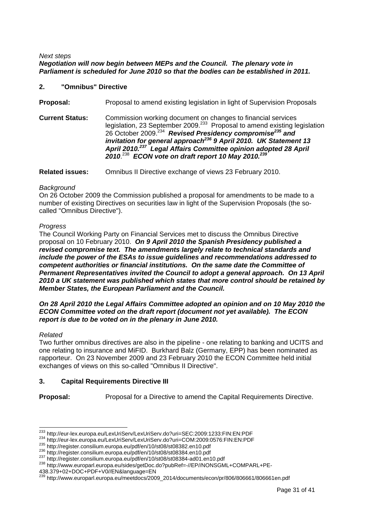#### <span id="page-30-0"></span>*Next steps Negotiation will now begin between MEPs and the Council. The plenary vote in Parliament is scheduled for June 2010 so that the bodies can be established in 2011.*

#### **2. "Omnibus" Directive**

**Proposal:** Proposal to amend existing legislation in light of Supervision Proposals

**Current Status:** Commission working document on changes to financial services legislation, 23 September 2009.<sup>233</sup> Proposal to amend existing legislation 26 October 2009.[234](#page-30-2) *Revised Presidency compromise[235 a](#page-30-3)nd invitation for general approach[236 9](#page-30-4) April 2010. UK Statement 13 April 2010.[237](#page-30-5) Legal Affairs Committee opinion adopted 28 April 2010*. [238](#page-30-6) *ECON vote on draft report 10 May 2010.[239](#page-30-7)* 

**Related issues:** Omnibus II Directive exchange of views 23 February 2010.

#### *Background*

On 26 October 2009 the Commission published a proposal for amendments to be made to a number of existing Directives on securities law in light of the Supervision Proposals (the socalled "Omnibus Directive").

#### *Progress*

The Council Working Party on Financial Services met to discuss the Omnibus Directive proposal on 10 February 2010. *On 9 April 2010 the Spanish Presidency published a revised compromise text. The amendments largely relate to technical standards and include the power of the ESAs to issue guidelines and recommendations addressed to competent authorities or financial institutions. On the same date the Committee of Permanent Representatives invited the Council to adopt a general approach. On 13 April 2010 a UK statement was published which states that more control should be retained by Member States, the European Parliament and the Council.* 

#### *On 28 April 2010 the Legal Affairs Committee adopted an opinion and on 10 May 2010 the ECON Committee voted on the draft report (document not yet available). The ECON report is due to be voted on in the plenary in June 2010.*

#### *Related*

Two further omnibus directives are also in the pipeline - one relating to banking and UCITS and one relating to insurance and MiFID. Burkhard Balz (Germany, EPP) has been nominated as rapporteur. On 23 November 2009 and 23 February 2010 the ECON Committee held initial exchanges of views on this so-called "Omnibus II Directive".

#### **3. Capital Requirements Directive III**

**Proposal:** Proposal for a Directive to amend the Capital Requirements Directive.

<span id="page-30-1"></span><sup>&</sup>lt;sup>233</sup> http://eur-lex.europa.eu/LexUriServ/LexUriServ.do?uri=SEC:2009:1233:FIN:EN:PDF

<span id="page-30-2"></span>

<span id="page-30-3"></span>

<span id="page-30-4"></span>

<span id="page-30-6"></span><span id="page-30-5"></span>

<sup>&</sup>lt;sup>234</sup> http://eur-lex.europa.eu/LexUriServ/LexUriServ.do?uri=COM:2009:0576:FIN:EN:PDF<br><sup>235</sup> http://register.consilium.europa.eu/pdf/en/10/st08/st08382.en10.pdf<br><sup>236</sup> http://register.consilium.europa.eu/pdf/en/10/st08/st083

<sup>438.379+02+</sup>DOC+PDF+V0//EN&language=EN

<span id="page-30-7"></span><sup>&</sup>lt;sup>239</sup> http://www.europarl.europa.eu/meetdocs/2009\_2014/documents/econ/pr/806/806661/806661en.pdf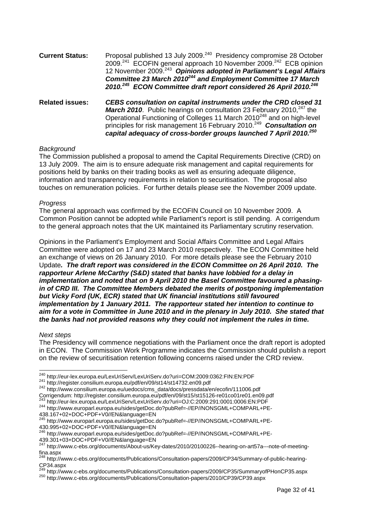| <b>Current Status:</b> | Proposal published 13 July 2009. <sup>240</sup> Presidency compromise 28 October<br>2009. <sup>241</sup> ECOFIN general approach 10 November 2009. <sup>242</sup> ECB opinion<br>12 November 2009. <sup>243</sup> Opinions adopted in Parliament's Legal Affairs<br>Committee 23 March 2010 <sup>244</sup> and Employment Committee 17 March<br>2010. <sup>245</sup> ECON Committee draft report considered 26 April 2010. <sup>246</sup> |
|------------------------|-------------------------------------------------------------------------------------------------------------------------------------------------------------------------------------------------------------------------------------------------------------------------------------------------------------------------------------------------------------------------------------------------------------------------------------------|
| <b>Related issues:</b> | CEBS consultation on capital instruments under the CRD closed 31<br>— iii ii ii aa — ii aa u 347 u                                                                                                                                                                                                                                                                                                                                        |

*March 2010.* Public hearings on consultation 23 February 2010,<sup>247</sup> the Operational Functioning of Colleges 11 March 2010<sup>248</sup> and on high-level principles for risk management 16 February 2010.[249](#page-31-9) *Consultation on capital adequacy of cross-border groups launched 7 April 2010.[250](#page-31-10)*

#### *Background*

The Commission published a proposal to amend the Capital Requirements Directive (CRD) on 13 July 2009. The aim is to ensure adequate risk management and capital requirements for positions held by banks on their trading books as well as ensuring adequate diligence, information and transparency requirements in relation to securitisation. The proposal also touches on remuneration policies. For further details please see the November 2009 update.

#### *Progress*

The general approach was confirmed by the ECOFIN Council on 10 November 2009. A Common Position cannot be adopted while Parliament's report is still pending. A corrigendum to the general approach notes that the UK maintained its Parliamentary scrutiny reservation.

Opinions in the Parliament's Employment and Social Affairs Committee and Legal Affairs Committee were adopted on 17 and 23 March 2010 respectively. The ECON Committee held an exchange of views on 26 January 2010. For more details please see the February 2010 Update*. The draft report was considered in the ECON Committee on 26 April 2010. The rapporteur Arlene McCarthy (S&D) stated that banks have lobbied for a delay in implementation and noted that on 9 April 2010 the Basel Committee favoured a phasingin of CRD III. The Committee Members debated the merits of postponing implementation but Vicky Ford (UK, ECR) stated that UK financial institutions still favoured implementation by 1 January 2011. The rapporteur stated her intention to continue to aim for a vote in Committee in June 2010 and in the plenary in July 2010. She stated that the banks had not provided reasons why they could not implement the rules in time.* 

#### *Next steps*

The Presidency will commence negotiations with the Parliament once the draft report is adopted in ECON. The Commission Work Programme indicates the Commission should publish a report on the review of securitisation retention following concerns raised under the CRD review.

<span id="page-31-3"></span>Corrigendum: http://register.consilium.europa.eu/pdf/en/09/st15/st15126-re01co01re01.en09.pdf<br>
<sup>243</sup> http://eur-lex.europa.eu/LexUriServ/LexUriServ.do?uri=OJ:C:2009:291:0001:0006:EN:PDF<br>
<sup>244</sup> http://www.europarl.europa.eu

<span id="page-31-0"></span><sup>&</sup>lt;sup>240</sup> http://eur-lex.europa.eu/LexUriServ/LexUriServ.do?uri=COM:2009:0362:FIN:EN:PDF

<span id="page-31-2"></span><span id="page-31-1"></span>

 $^{241}$  <http://register.consilium.europa.eu/pdf/en/09/st14/st14732.en09.pdf><br> $^{242}$  http://www.consilium.europa.eu/uedocs/cms\_data/docs/pressdata/en/ecofin/111006.pdf

<span id="page-31-4"></span><sup>438.167+02+</sup>DOC+PDF+V0//EN&language=EN

<span id="page-31-5"></span><sup>245</sup> http://www.europarl.europa.eu/sides/getDoc.do?pubRef=-//EP//NONSGML+COMPARL+PE-430.995+02+DOC+PDF+V0//EN&language=EN

<span id="page-31-6"></span><sup>246</sup> http://www.europarl.europa.eu/sides/getDoc.do?pubRef=-//EP//NONSGML+COMPARL+PE-439.301+03+DOC+PDF+V0//EN&language=EN

<span id="page-31-7"></span><sup>&</sup>lt;sup>247</sup> http://www.c-ebs.org/documents/About-us/Key-dates/2010/20100226--hearing-on-art57a---note-of-meetingfina.aspx

<span id="page-31-8"></span><sup>&</sup>lt;sup>248</sup> http://www.c-ebs.org/documents/Publications/Consultation-papers/2009/CP34/Summary-of-public-hearing-CP34.aspx

<span id="page-31-10"></span><span id="page-31-9"></span><sup>&</sup>lt;sup>249</sup> http://www.c-ebs.org/documents/Publications/Consultation-papers/2009/CP35/SummaryofPHonCP35.aspx<br><sup>250</sup> http://www.c-ebs.org/documents/Publications/Consultation-papers/2010/CP39/CP39.aspx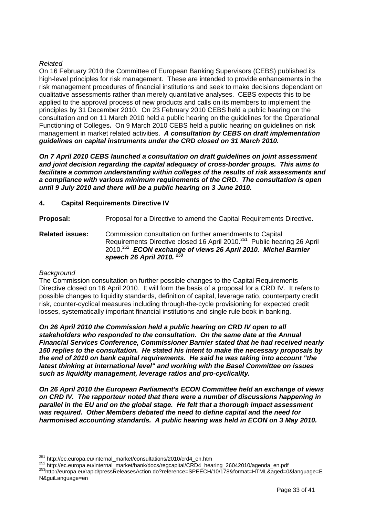#### <span id="page-32-0"></span>*Related*

On 16 February 2010 the Committee of European Banking Supervisors (CEBS) published its high-level principles for risk management. These are intended to provide enhancements in the risk management procedures of financial institutions and seek to make decisions dependant on qualitative assessments rather than merely quantitative analyses. CEBS expects this to be applied to the approval process of new products and calls on its members to implement the principles by 31 December 2010. On 23 February 2010 CEBS held a public hearing on the consultation and on 11 March 2010 held a public hearing on the guidelines for the Operational Functioning of Colleges*.* On 9 March 2010 CEBS held a public hearing on guidelines on risk management in market related activities. *A consultation by CEBS on draft implementation guidelines on capital instruments under the CRD closed on 31 March 2010.* 

*On 7 April 2010 CEBS launched a consultation on draft guidelines on joint assessment and joint decision regarding the capital adequacy of cross-border groups. This aims to facilitate a common understanding within colleges of the results of risk assessments and a compliance with various minimum requirements of the CRD. The consultation is open until 9 July 2010 and there will be a public hearing on 3 June 2010.* 

#### **4. Capital Requirements Directive IV**

**Proposal:** Proposal for a Directive to amend the Capital Requirements Directive.

**Related issues:** Commission consultation on further amendments to Capital Requirements Directive closed 16 April 2010.<sup>251</sup> Public hearing 26 April 2010.[252](#page-32-2) *ECON exchange of views 26 April 2010. Michel Barnier speech 26 April 2010. [253](#page-32-3)*

#### *Background*

The Commission consultation on further possible changes to the Capital Requirements Directive closed on 16 April 2010. It will form the basis of a proposal for a CRD IV. It refers to possible changes to liquidity standards, definition of capital, leverage ratio, counterparty credit risk, counter-cyclical measures including through-the-cycle provisioning for expected credit losses, systematically important financial institutions and single rule book in banking.

*On 26 April 2010 the Commission held a public hearing on CRD IV open to all stakeholders who responded to the consultation. On the same date at the Annual Financial Services Conference, Commissioner Barnier stated that he had received nearly 150 replies to the consultation. He stated his intent to make the necessary proposals by the end of 2010 on bank capital requirements. He said he was taking into account "the latest thinking at international level" and working with the Basel Committee on issues such as liquidity management, leverage ratios and pro-cyclicality.* 

*On 26 April 2010 the European Parliament's ECON Committee held an exchange of views on CRD IV. The rapporteur noted that there were a number of discussions happening in parallel in the EU and on the global stage. He felt that a thorough impact assessment was required. Other Members debated the need to define capital and the need for harmonised accounting standards. A public hearing was held in ECON on 3 May 2010.* 

<span id="page-32-3"></span>

<span id="page-32-1"></span><sup>&</sup>lt;sup>251</sup> http://ec.europa.eu/internal\_market/consultations/2010/crd4\_en.htm

<span id="page-32-2"></span><sup>252</sup> http://ec.europa.eu/internal\_market/bank/docs/regcapital/CRD4\_hearing\_26042010/agenda\_en.pdf<br>253 http://ec.europa.eu/internal\_market/bank/docs/regcapital/CRD4\_hearing\_26042010/agenda\_en.pdf<br>253 http://europa.eu/rapid/p N&guiLanguage=en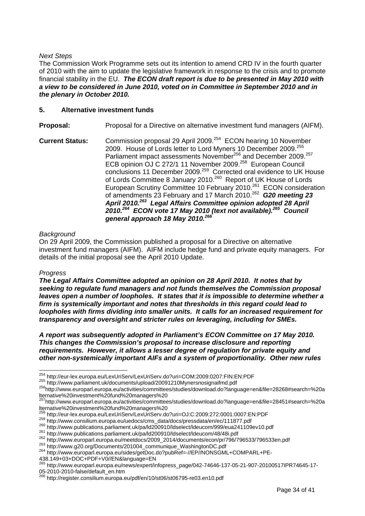#### <span id="page-33-0"></span>*Next Steps*

The Commission Work Programme sets out its intention to amend CRD IV in the fourth quarter of 2010 with the aim to update the legislative framework in response to the crisis and to promote financial stability in the EU. *The ECON draft report is due to be presented in May 2010 with a view to be considered in June 2010, voted on in Committee in September 2010 and in the plenary in October 2010.* 

#### **5. Alternative investment funds**

**Proposal:** Proposal for a Directive on alternative investment fund managers (AIFM).

**Current Status:** Commission proposal 29 April 2009[.254](#page-33-1)ECON hearing 10 November 2009. House of Lords letter to Lord Myners 10 December 2009.<sup>255</sup> Parliament impact assessments November<sup>256</sup> and December 2009.<sup>257</sup> ECB opinion OJ C 272/1 11 November 2009.<sup>258</sup> European Council conclusions 11 December 2009.<sup>259</sup> Corrected oral evidence to UK House of Lords Committee 8 January 2010.<sup>260</sup> Report of UK House of Lords European Scrutiny Committee 10 February 2010.<sup>261</sup> ECON consideration of amendments 23 February and 17 March 2010.[262](#page-33-9) *G20 meeting 23 April 2010.[263](#page-33-10) Legal Affairs Committee opinion adopted 28 April 2010.[264](#page-33-11) ECON vote 17 May 2010 (text not available).[265](#page-33-12) Council general approach 18 May 2010.[266](#page-33-13)* 

#### *Background*

On 29 April 2009, the Commission published a proposal for a Directive on alternative investment fund managers (AIFM). AIFM include hedge fund and private equity managers. For details of the initial proposal see the April 2010 Update.

#### *Progress*

*The Legal Affairs Committee adopted an opinion on 28 April 2010. It notes that by seeking to regulate fund managers and not funds themselves the Commission proposal leaves open a number of loopholes. It states that it is impossible to determine whether a firm is systemically important and notes that thresholds in this regard could lead to loopholes with firms dividing into smaller units. It calls for an increased requirement for transparency and oversight and stricter rules on leveraging, including for SMEs.* 

*A report was subsequently adopted in Parliament's ECON Committee on 17 May 2010. This changes the Commission's proposal to increase disclosure and reporting requirements. However, it allows a lesser degree of regulation for private equity and other non-systemically important AIFs and a system of proportionality. Other new rules* 

438.149+03+DOC+PDF+V0//EN&language=EN

<span id="page-33-1"></span><sup>&</sup>lt;sup>254</sup> http://eur-lex.europa.eu/LexUriServ/LexUriServ.do?uri=COM:2009:0207:FIN:EN:PDF

<span id="page-33-3"></span><span id="page-33-2"></span>

<sup>255</sup> <http://www.parliament.uk/documents/upload/20091210Mynersnosignaifmd.pdf><br><sup>256</sup>http://www.europarl.europa.eu/activities/committees/studies/download.do?language=en&file=28268#search=%20a

<span id="page-33-4"></span>lternative%20investment%20fund%20managers%20<br>
<sup>257</sup>http://www.europarl.europa.eu/activities/committees/studies/download.do?language=en&file=28451#search=%20a<br>
lternative%20investment%20fund%20managers%20

<span id="page-33-5"></span>

<span id="page-33-7"></span><span id="page-33-6"></span>

 $258 \n[http://www.consilium.europa.eu/uedocs/cms\_data/docs/pressdata/en/ec/111877.pdf](http://eur-lex.europa.eu/LexUriServ.LexUriServ.doc?uri=OJ:C:2009:272:0001:0007:EN:PDF-259) 259 \n[http://www.publications.parliament.uk/pa/d200910/dselect/deucom/999/eua241109ev10.pdf](http://www.consilium.europa.eu/uedocs/cms_data/docs/pressdata/en/ec/111877.pdf) 261 \n<a href="http://www.publications.parliament.uk/pa/d200910/dselect</math>$ 

<span id="page-33-8"></span>

<span id="page-33-9"></span>

<span id="page-33-10"></span>

<span id="page-33-11"></span>

<span id="page-33-12"></span><sup>265</sup> http://www.europarl.europa.eu/news/expert/infopress\_page/042-74646-137-05-21-907-20100517IPR74645-17- 05-2010-2010-false/default\_en.htm

<span id="page-33-13"></span><sup>&</sup>lt;sup>266</sup> http://register.consilium.europa.eu/pdf/en/10/st06/st06795-re03.en10.pdf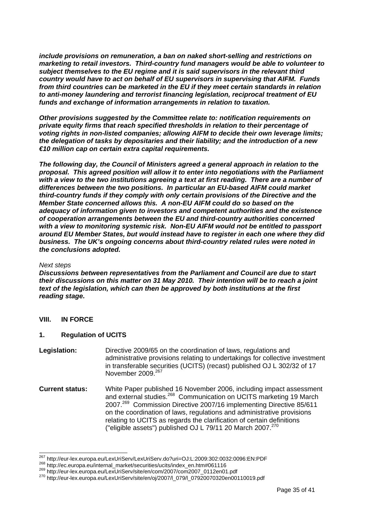<span id="page-34-0"></span>*include provisions on remuneration, a ban on naked short-selling and restrictions on marketing to retail investors. Third-country fund managers would be able to volunteer to subject themselves to the EU regime and it is said supervisors in the relevant third country would have to act on behalf of EU supervisors in supervising that AIFM. Funds from third countries can be marketed in the EU if they meet certain standards in relation to anti-money laundering and terrorist financing legislation, reciprocal treatment of EU funds and exchange of information arrangements in relation to taxation.* 

*Other provisions suggested by the Committee relate to: notification requirements on private equity firms that reach specified thresholds in relation to their percentage of voting rights in non-listed companies; allowing AIFM to decide their own leverage limits; the delegation of tasks by depositaries and their liability; and the introduction of a new €10 million cap on certain extra capital requirements.* 

*The following day, the Council of Ministers agreed a general approach in relation to the proposal. This agreed position will allow it to enter into negotiations with the Parliament with a view to the two institutions agreeing a text at first reading. There are a number of differences between the two positions. In particular an EU-based AIFM could market third-country funds if they comply with only certain provisions of the Directive and the Member State concerned allows this. A non-EU AIFM could do so based on the adequacy of information given to investors and competent authorities and the existence of cooperation arrangements between the EU and third-country authorities concerned with a view to monitoring systemic risk. Non-EU AIFM would not be entitled to passport around EU Member States, but would instead have to register in each one where they did business. The UK's ongoing concerns about third-country related rules were noted in the conclusions adopted.* 

#### *Next steps*

*Discussions between representatives from the Parliament and Council are due to start their discussions on this matter on 31 May 2010. Their intention will be to reach a joint text of the legislation, which can then be approved by both institutions at the first reading stage.* 

#### **VIII. IN FORCE**

#### **1. Regulation of UCITS**

- **Legislation:** Directive 2009/65 on the coordination of laws, regulations and administrative provisions relating to undertakings for collective investment in transferable securities (UCITS) (recast) published OJ L 302/32 of 17 November 2009.[267](#page-34-1)
- **Current status:** White Paper published 16 November 2006, including impact assessment and external studies.<sup>268</sup> Communication on UCITS marketing 19 March 2007.[269](#page-34-3)Commission Directive 2007/16 implementing Directive 85/611 on the coordination of laws, regulations and administrative provisions relating to UCITS as regards the clarification of certain definitions ("eligible assets") published OJ L 79/11 20 March 2007. $270$

<span id="page-34-1"></span> $\overline{\phantom{a}}$ <sup>267</sup> http://eur-lex.europa.eu/LexUriServ/LexUriServ.do?uri=OJ:L:2009:302:0032:0096:EN:PDF<br><sup>268</sup> http://ec.europa.eu/internal\_market/securities/ucits/index\_en.htm#061116<br><sup>269</sup> http://eur-lex.europa.eu/LexUriServ/site/en/co

<span id="page-34-2"></span>

<span id="page-34-3"></span>

<span id="page-34-4"></span>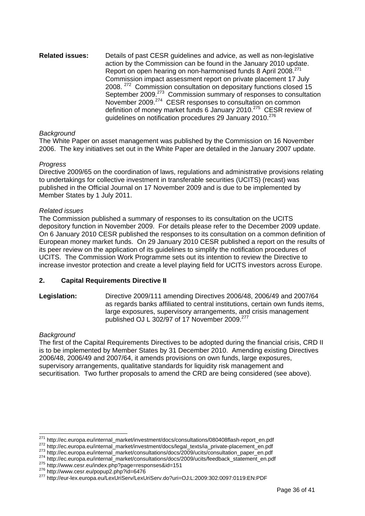<span id="page-35-0"></span>**Related issues:** Details of past CESR guidelines and advice, as well as non-legislative action by the Commission can be found in the January 2010 update. Report on open hearing on non-harmonised funds 8 April 2008.<sup>271</sup> Commission impact assessment report on private placement 17 July 2008. <sup>272</sup> Commission consultation on depositary functions closed 15 September 2009.<sup>273</sup> Commission summary of responses to consultation November 2009.[274](#page-35-4) CESR responses to consultation on common definition of money market funds 6 January 2010.<sup>275</sup> CESR review of guidelines on notification procedures 29 January 2010.<sup>276</sup>

#### *Background*

The White Paper on asset management was published by the Commission on 16 November 2006. The key initiatives set out in the White Paper are detailed in the January 2007 update.

#### *Progress*

Directive 2009/65 on the coordination of laws, regulations and administrative provisions relating to undertakings for collective investment in transferable securities (UCITS) (recast) was published in the Official Journal on 17 November 2009 and is due to be implemented by Member States by 1 July 2011.

#### *Related issues*

The Commission published a summary of responses to its consultation on the UCITS depository function in November 2009. For details please refer to the December 2009 update. On 6 January 2010 CESR published the responses to its consultation on a common definition of European money market funds. On 29 January 2010 CESR published a report on the results of its peer review on the application of its guidelines to simplify the notification procedures of UCITS. The Commission Work Programme sets out its intention to review the Directive to increase investor protection and create a level playing field for UCITS investors across Europe.

#### **2. Capital Requirements Directive II**

**Legislation:** Directive 2009/111 amending Directives 2006/48, 2006/49 and 2007/64 as regards banks affiliated to central institutions, certain own funds items, large exposures, supervisory arrangements, and crisis management published OJ L 302/97 of 17 November 2009.[277](#page-35-7) 

#### *Background*

The first of the Capital Requirements Directives to be adopted during the financial crisis, CRD II is to be implemented by Member States by 31 December 2010. Amending existing Directives 2006/48, 2006/49 and 2007/64, it amends provisions on own funds, large exposures, supervisory arrangements, qualitative standards for liquidity risk management and securitisation. Two further proposals to amend the CRD are being considered (see above).

<span id="page-35-1"></span><sup>&</sup>lt;sup>271</sup> http://ec.europa.eu/internal\_market/investment/docs/consultations/080408flash-report\_en.pdf

<span id="page-35-2"></span>

<span id="page-35-4"></span><span id="page-35-3"></span>

<sup>275</sup> http://ec.europa.eu/internal\_market/investment/docs/legal\_texts/ia\_private-placement\_en.pdf<br>
273 http://ec.europa.eu/internal\_market/consultations/docs/2009/ucits/consultation\_paper\_en.pdf<br>
274 http://ec.europa.eu/inte

<span id="page-35-5"></span>

<span id="page-35-6"></span>

<span id="page-35-7"></span>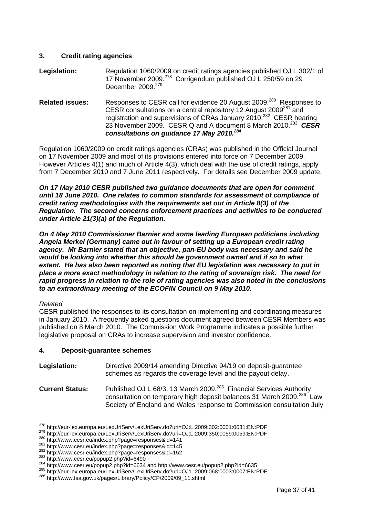#### <span id="page-36-0"></span>**3. Credit rating agencies**

- **Legislation:**Regulation 1060/2009 on credit ratings agencies published OJ L 302/1 of 17 November 2009.<sup>278</sup> Corrigendum published OJ L 250/59 on 29 December 2009.<sup>279</sup>
- **Related issues:** Responses to CESR call for evidence 20 August 2009.<sup>280</sup> Responses to CESR consultations on a central repository 12 August 2009[281](#page-36-4) and registration and supervisions of CRAs January 2010.<sup>282</sup> CESR hearing 23 November 2009. CESR Q and A document 8 March 2010.[283](#page-36-6) *CESR consultations on guidance 17 May 2010.[284](#page-36-7)*

Regulation 1060/2009 on credit ratings agencies (CRAs) was published in the Official Journal on 17 November 2009 and most of its provisions entered into force on 7 December 2009. However Articles 4(1) and much of Article 4(3), which deal with the use of credit ratings, apply from 7 December 2010 and 7 June 2011 respectively. For details see December 2009 update.

*On 17 May 2010 CESR published two guidance documents that are open for comment until 18 June 2010. One relates to common standards for assessment of compliance of credit rating methodologies with the requirements set out in Article 8(3) of the Regulation. The second concerns enforcement practices and activities to be conducted under Article 21(3)(a) of the Regulation.* 

*On 4 May 2010 Commissioner Barnier and some leading European politicians including Angela Merkel (Germany) came out in favour of setting up a European credit rating agency. Mr Barnier stated that an objective, pan-EU body was necessary and said he would be looking into whether this should be government owned and if so to what extent. He has also been reported as noting that EU legislation was necessary to put in place a more exact methodology in relation to the rating of sovereign risk. The need for rapid progress in relation to the role of rating agencies was also noted in the conclusions to an extraordinary meeting of the ECOFIN Council on 9 May 2010.* 

#### *Related*

CESR published the responses to its consultation on implementing and coordinating measures in January 2010. A frequently asked questions document agreed between CESR Members was published on 8 March 2010. The Commission Work Programme indicates a possible further legislative proposal on CRAs to increase supervision and investor confidence.

#### **4. Deposit-guarantee schemes**

| Legislation: | Directive 2009/14 amending Directive 94/19 on deposit-guarantee |
|--------------|-----------------------------------------------------------------|
|              | schemes as regards the coverage level and the payout delay.     |

**Current Status:** Published OJ L 68/3, 13 March 2009.<sup>285</sup> Financial Services Authority consultation on temporary high deposit balances 31 March 2009.<sup>286</sup> Law Society of England and Wales response to Commission consultation July

<span id="page-36-1"></span><sup>&</sup>lt;sup>278</sup> http://eur-lex.europa.eu/LexUriServ/LexUriServ.do?uri=OJ:L:2009:302:0001:0031:EN:PDF

<span id="page-36-2"></span><sup>&</sup>lt;sup>279</sup> http://eur-lex.europa.eu/LexUriServ/LexUriServ.do?uri=OJ:L:2009:350:0059:0059:EN:PDF<br>
<sup>280</sup> http://www.cesr.eu/index.php?page=responses&id=141<br>
<sup>281</sup> http://www.cesr.eu/index.php?page=responses&id=145<br>
<sup>282</sup> http://

<span id="page-36-3"></span>

<span id="page-36-4"></span>

<span id="page-36-5"></span>

<span id="page-36-6"></span>

<span id="page-36-7"></span>

<span id="page-36-8"></span>

<span id="page-36-9"></span>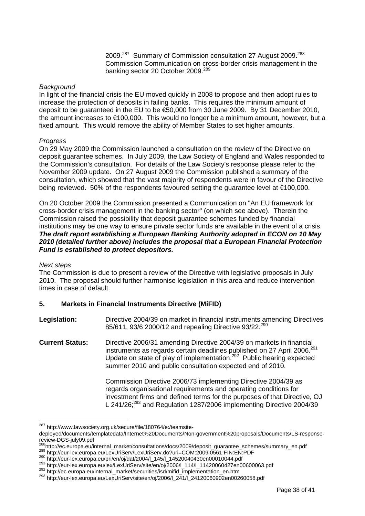2009.[287](#page-37-1)Summary of Commission consultation 27 August 2009.[288](#page-37-2) Commission Communication on cross-border crisis management in the banking sector 20 October 2009.<sup>289</sup>

#### <span id="page-37-0"></span>*Background*

In light of the financial crisis the EU moved quickly in 2008 to propose and then adopt rules to increase the protection of deposits in failing banks. This requires the minimum amount of deposit to be guaranteed in the EU to be €50,000 from 30 June 2009. By 31 December 2010, the amount increases to €100,000. This would no longer be a minimum amount, however, but a fixed amount. This would remove the ability of Member States to set higher amounts.

#### *Progress*

On 29 May 2009 the Commission launched a consultation on the review of the Directive on deposit guarantee schemes. In July 2009, the Law Society of England and Wales responded to the Commission's consultation. For details of the Law Society's response please refer to the November 2009 update. On 27 August 2009 the Commission published a summary of the consultation, which showed that the vast majority of respondents were in favour of the Directive being reviewed. 50% of the respondents favoured setting the guarantee level at €100,000.

On 20 October 2009 the Commission presented a Communication on "An EU framework for cross-border crisis management in the banking sector" (on which see above). Therein the Commission raised the possibility that deposit guarantee schemes funded by financial institutions may be one way to ensure private sector funds are available in the event of a crisis. *The draft report establishing a European Banking Authority adopted in ECON on 10 May 2010 (detailed further above) includes the proposal that a European Financial Protection Fund is established to protect depositors.* 

#### *Next steps*

The Commission is due to present a review of the Directive with legislative proposals in July 2010. The proposal should further harmonise legislation in this area and reduce intervention times in case of default.

#### **5. Markets in Financial Instruments Directive (MiFID)**

- **Legislation:** Directive 2004/39 on market in financial instruments amending Directives 85/611, 93/6 2000/12 and repealing Directive 93/22.<sup>[290](#page-37-4)</sup>
- **Current Status:** Directive 2006/31 amending Directive 2004/39 on markets in financial instruments as regards certain deadlines published on 27 April 2006.<sup>291</sup> Update on state of play of implementation.[292](#page-37-6) Public hearing expected summer 2010 and public consultation expected end of 2010.

Commission Directive 2006/73 implementing Directive 2004/39 as regards organisational requirements and operating conditions for investment firms and defined terms for the purposes of that Directive, OJ L  $241/26$ ;<sup>293</sup> and Regulation 1287/2006 implementing Directive 2004/39

<span id="page-37-1"></span> <sup>287</sup> [http://www.lawsociety.org.uk/secure/file/180764/e:/teamsite-](http://www.lawsociety.org.uk/secure/file/180764/e:/teamsite-deployed/documents/templatedata/Internet Documents/Non-government proposals/Documents/LS-response-review-DGS-july09.pdf)

[deployed/documents/templatedata/Internet%20Documents/Non-government%20proposals/Documents/LS-response-](http://www.lawsociety.org.uk/secure/file/180764/e:/teamsite-deployed/documents/templatedata/Internet Documents/Non-government proposals/Documents/LS-response-review-DGS-july09.pdf)

<span id="page-37-2"></span> $288 \text{http://ec.europa.eu/internal_matrix/Corsultations/docs/2009/deposit_guarantee_schemes/summary_en.pdf}$   $289 \text{http://eur-lex.europa.eu/LexUriServ/LexUriServ.do?uri=COM:2009:0561:FIN:EN:PDF\n by http://eur-lex.europa.eu/pri/en/oj/dat/2004/1_145/1_14520040430en00010044.pdf\n by http://eur-lex.europa.eu/pri/en/oj/dat/2004/1_145/1_14520040430en00010044.pdf\n by http://eur-lex.europa.eu/lex/LexUriServ/site$ 

<span id="page-37-3"></span>

<span id="page-37-4"></span>

<span id="page-37-5"></span>

<span id="page-37-6"></span>

<span id="page-37-7"></span>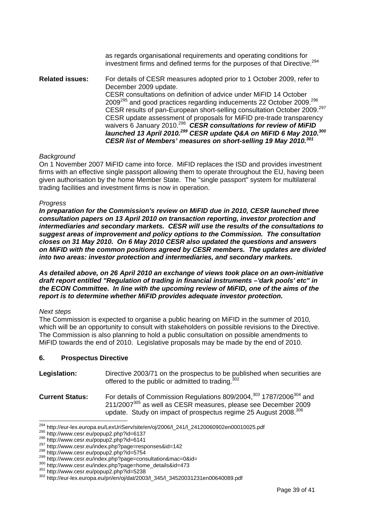as regards organisational requirements and operating conditions for investment firms and defined terms for the purposes of that Directive[.294](#page-38-1) 

<span id="page-38-0"></span>**Related issues:** For details of CESR measures adopted prior to 1 October 2009, refer to December 2009 update. CESR consultations on definition of advice under MiFID 14 October 2009[295](#page-38-2) and good practices regarding inducements 22 October 2009.[296](#page-38-3) CESR results of pan-European short-selling consultation October 2009.[297](#page-38-4)  CESR update assessment of proposals for MiFID pre-trade transparency waivers 6 January 2010.[298](#page-38-5) *CESR consultations for review of MiFID launched 13 April 2010[.299](#page-38-6) CESR update Q&A on MiFID 6 May 2010.[300](#page-38-7)  CESR list of Members' measures on short-selling 19 May 2010.[301](#page-38-8)* 

#### *Background*

On 1 November 2007 MiFID came into force. MiFID replaces the ISD and provides investment firms with an effective single passport allowing them to operate throughout the EU, having been given authorisation by the home Member State. The "single passport" system for multilateral trading facilities and investment firms is now in operation.

#### *Progress*

*In preparation for the Commission's review on MiFID due in 2010, CESR launched three consultation papers on 13 April 2010 on transaction reporting, investor protection and intermediaries and secondary markets. CESR will use the results of the consultations to suggest areas of improvement and policy options to the Commission. The consultation closes on 31 May 2010. On 6 May 2010 CESR also updated the questions and answers on MiFID with the common positions agreed by CESR members. The updates are divided into two areas: investor protection and intermediaries, and secondary markets.* 

*As detailed above, on 26 April 2010 an exchange of views took place on an own-initiative draft report entitled "Regulation of trading in financial instruments –'dark pools' etc" in the ECON Committee. In line with the upcoming review of MiFID, one of the aims of the report is to determine whether MiFID provides adequate investor protection.* 

#### *Next steps*

<span id="page-38-13"></span>

The Commission is expected to organise a public hearing on MiFID in the summer of 2010, which will be an opportunity to consult with stakeholders on possible revisions to the Directive. The Commission is also planning to hold a public consultation on possible amendments to MiFID towards the end of 2010. Legislative proposals may be made by the end of 2010.

#### **6. Prospectus Directive**

| Legislation: | Directive 2003/71 on the prospectus to be published when securities are |
|--------------|-------------------------------------------------------------------------|
|              | offered to the public or admitted to trading. <sup>302</sup>            |

<span id="page-38-12"></span><span id="page-38-11"></span><span id="page-38-10"></span>**Current Status:** For details of Commission Regulations 809/2004,<sup>303</sup> 1787/2006<sup>304</sup> and 211/2007[305](#page-38-12) as well as CESR measures, please see December 2009 update. Study on impact of prospectus regime 25 August 2008.<sup>306</sup>

<span id="page-38-1"></span><sup>&</sup>lt;sup>294</sup> http://eur-lex.europa.eu/LexUriServ/site/en/oj/2006/l\_241/l\_24120060902en00010025.pdf<br><sup>295</sup> http://www.cesr.eu/popup2.php?id=6137<br><sup>296</sup> <http://www.cesr.eu/popup2.php?id=6141><br><sup>297</sup> http://www.cesr.eu/index.php?page=re

<span id="page-38-2"></span>

<span id="page-38-3"></span>

<span id="page-38-4"></span>

<span id="page-38-5"></span>

<span id="page-38-6"></span>

<span id="page-38-7"></span>

<span id="page-38-8"></span>

<span id="page-38-9"></span>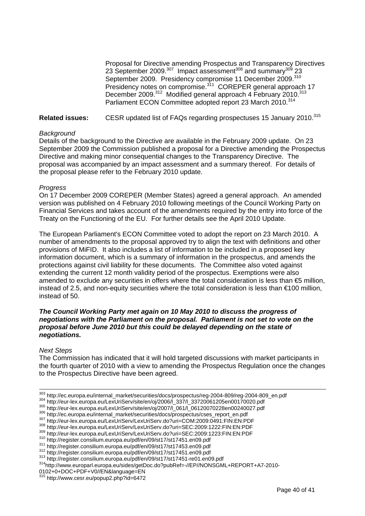Proposal for Directive amending Prospectus and Transparency Directives 23 September 2009.<sup>307</sup> Impact assessment<sup>308</sup> and summary<sup>309</sup> 23 September 2009. Presidency compromise 11 December 2009.<sup>310</sup> Presidency notes on compromise.<sup>311</sup> COREPER general approach 17 December 2009.<sup>312</sup> Modified general approach 4 February 2010.<sup>[313](#page-39-6)</sup> Parliament ECON Committee adopted report 23 March 2010.[314](#page-39-7)

#### **Related issues:** CESR updated list of FAQs regarding prospectuses 15 January 2010.<sup>315</sup>

#### *Background*

Details of the background to the Directive are available in the February 2009 update. On 23 September 2009 the Commission published a proposal for a Directive amending the Prospectus Directive and making minor consequential changes to the Transparency Directive. The proposal was accompanied by an impact assessment and a summary thereof. For details of the proposal please refer to the February 2010 update.

#### *Progress*

On 17 December 2009 COREPER (Member States) agreed a general approach. An amended version was published on 4 February 2010 following meetings of the Council Working Party on Financial Services and takes account of the amendments required by the entry into force of the Treaty on the Functioning of the EU. For further details see the April 2010 Update.

The European Parliament's ECON Committee voted to adopt the report on 23 March 2010. A number of amendments to the proposal approved try to align the text with definitions and other provisions of MiFID. It also includes a list of information to be included in a proposed key information document, which is a summary of information in the prospectus, and amends the protections against civil liability for these documents. The Committee also voted against extending the current 12 month validity period of the prospectus. Exemptions were also amended to exclude any securities in offers where the total consideration is less than €5 million, instead of 2.5, and non-equity securities where the total consideration is less than €100 million, instead of 50.

#### *The Council Working Party met again on 10 May 2010 to discuss the progress of negotiations with the Parliament on the proposal. Parliament is not set to vote on the proposal before June 2010 but this could be delayed depending on the state of negotiations.*

#### *Next Steps*

The Commission has indicated that it will hold targeted discussions with market participants in the fourth quarter of 2010 with a view to amending the Prospectus Regulation once the changes to the Prospectus Directive have been agreed.

- 303 http://ec.europa.eu/internal\_market/securities/docs/prospectus/reg-2004-809/reg-2004-809\_en.pdf
- 304 http://eur-lex.europa.eu/LexUriServ/site/en/oj/2006/1\_337/l\_33720061205en00170020.pdf<br>305 http://eur-lex.europa.eu/LexUriServ/site/en/oj/2007/l\_061/L\_06120070228en00240027.pdf<br>305 http://eur-lex.europa.eu/LexUriServ/si
- 
- 

<span id="page-39-0"></span>

<span id="page-39-1"></span>

<span id="page-39-2"></span>

<span id="page-39-3"></span>

<span id="page-39-7"></span>

<span id="page-39-4"></span>

<span id="page-39-5"></span>

<span id="page-39-6"></span>

<sup>0102+0+</sup>DOC+PDF+V0//EN&language=EN

<span id="page-39-8"></span><sup>315</sup> http://www.cesr.eu/popup2.php?id=6472